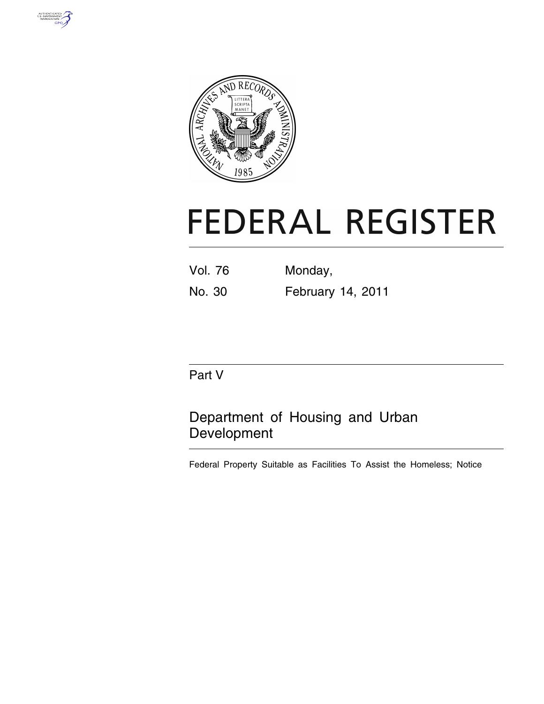



# **FEDERAL REGISTER**

| <b>Vol. 76</b> | Monday,           |
|----------------|-------------------|
| No. 30         | February 14, 2011 |

# Part V

# Department of Housing and Urban Development

Federal Property Suitable as Facilities To Assist the Homeless; Notice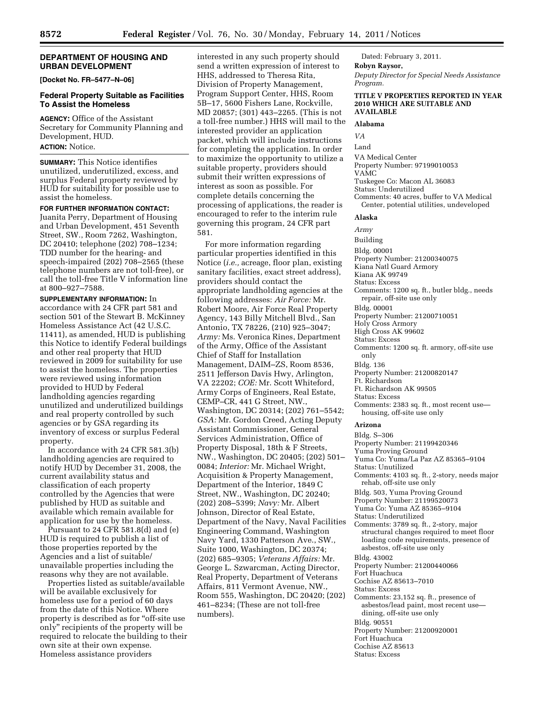#### **DEPARTMENT OF HOUSING AND URBAN DEVELOPMENT**

**[Docket No. FR–5477–N–06]** 

#### **Federal Property Suitable as Facilities To Assist the Homeless**

**AGENCY:** Office of the Assistant Secretary for Community Planning and Development, HUD.

# **ACTION:** Notice.

**SUMMARY:** This Notice identifies unutilized, underutilized, excess, and surplus Federal property reviewed by HUD for suitability for possible use to assist the homeless.

#### **FOR FURTHER INFORMATION CONTACT:**

Juanita Perry, Department of Housing and Urban Development, 451 Seventh Street, SW., Room 7262, Washington, DC 20410; telephone (202) 708–1234; TDD number for the hearing- and speech-impaired (202) 708–2565 (these telephone numbers are not toll-free), or call the toll-free Title V information line at 800–927–7588.

**SUPPLEMENTARY INFORMATION:** In accordance with 24 CFR part 581 and section 501 of the Stewart B. McKinney Homeless Assistance Act (42 U.S.C. 11411), as amended, HUD is publishing this Notice to identify Federal buildings and other real property that HUD reviewed in 2009 for suitability for use to assist the homeless. The properties were reviewed using information provided to HUD by Federal landholding agencies regarding unutilized and underutilized buildings and real property controlled by such agencies or by GSA regarding its inventory of excess or surplus Federal property.

In accordance with 24 CFR 581.3(b) landholding agencies are required to notify HUD by December 31, 2008, the current availability status and classification of each property controlled by the Agencies that were published by HUD as suitable and available which remain available for application for use by the homeless.

Pursuant to 24 CFR 581.8(d) and (e) HUD is required to publish a list of those properties reported by the Agencies and a list of suitable/ unavailable properties including the reasons why they are not available.

Properties listed as suitable/available will be available exclusively for homeless use for a period of 60 days from the date of this Notice. Where property is described as for "off-site use only'' recipients of the property will be required to relocate the building to their own site at their own expense. Homeless assistance providers

interested in any such property should send a written expression of interest to HHS, addressed to Theresa Rita, Division of Property Management, Program Support Center, HHS, Room 5B–17, 5600 Fishers Lane, Rockville, MD 20857; (301) 443–2265. (This is not a toll-free number.) HHS will mail to the interested provider an application packet, which will include instructions for completing the application. In order to maximize the opportunity to utilize a suitable property, providers should submit their written expressions of interest as soon as possible. For complete details concerning the processing of applications, the reader is encouraged to refer to the interim rule governing this program, 24 CFR part 581.

For more information regarding particular properties identified in this Notice (*i.e.,* acreage, floor plan, existing sanitary facilities, exact street address), providers should contact the appropriate landholding agencies at the following addresses: *Air Force:* Mr. Robert Moore, Air Force Real Property Agency, 143 Billy Mitchell Blvd., San Antonio, TX 78226, (210) 925–3047; *Army:* Ms. Veronica Rines, Department of the Army, Office of the Assistant Chief of Staff for Installation Management, DAIM–ZS, Room 8536, 2511 Jefferson Davis Hwy, Arlington, VA 22202; *COE:* Mr. Scott Whiteford, Army Corps of Engineers, Real Estate, CEMP–CR, 441 G Street, NW., Washington, DC 20314; (202) 761–5542; *GSA:* Mr. Gordon Creed, Acting Deputy Assistant Commissioner, General Services Administration, Office of Property Disposal, 18th & F Streets, NW., Washington, DC 20405; (202) 501– 0084; *Interior:* Mr. Michael Wright, Acquisition & Property Management, Department of the Interior, 1849 C Street, NW., Washington, DC 20240; (202) 208–5399; *Navy:* Mr. Albert Johnson, Director of Real Estate, Department of the Navy, Naval Facilities Engineering Command, Washington Navy Yard, 1330 Patterson Ave., SW., Suite 1000, Washington, DC 20374; (202) 685–9305; *Veterans Affairs:* Mr. George L. Szwarcman, Acting Director, Real Property, Department of Veterans Affairs, 811 Vermont Avenue, NW., Room 555, Washington, DC 20420; (202) 461–8234; (These are not toll-free numbers).

Dated: February 3, 2011. **Robyn Raysor,** 

*Deputy Director for Special Needs Assistance Program.* 

#### **TITLE V PROPERTIES REPORTED IN YEAR 2010 WHICH ARE SUITABLE AND AVAILABLE**

#### **Alabama**

*VA*  Land VA Medical Center Property Number: 97199010053 VAMC Tuskegee Co: Macon AL 36083 Status: Underutilized Comments: 40 acres, buffer to VA Medical Center, potential utilities, undeveloped

#### **Alaska**

*Army* 

Building Bldg. 00001 Property Number: 21200340075 Kiana Natl Guard Armory Kiana AK 99749 Status: Excess Comments: 1200 sq. ft., butler bldg., needs repair, off-site use only Bldg. 00001 Property Number: 21200710051 Holy Cross Armory High Cross AK 99602 Status: Excess Comments: 1200 sq. ft. armory, off-site use only Bldg. 136 Property Number: 21200820147 Ft. Richardson Ft. Richardson AK 99505 Status: Excess Comments: 2383 sq. ft., most recent use housing, off-site use only

### **Arizona**

Bldg. S–306 Property Number: 21199420346 Yuma Proving Ground Yuma Co: Yuma/La Paz AZ 85365–9104 Status: Unutilized Comments: 4103 sq. ft., 2-story, needs major rehab, off-site use only Bldg. 503, Yuma Proving Ground Property Number: 21199520073 Yuma Co: Yuma AZ 85365–9104 Status: Underutilized Comments: 3789 sq. ft., 2-story, major structural changes required to meet floor loading code requirements, presence of asbestos, off-site use only Bldg. 43002 Property Number: 21200440066 Fort Huachuca Cochise AZ 85613–7010 Status: Excess Comments: 23,152 sq. ft., presence of asbestos/lead paint, most recent use dining, off-site use only Bldg. 90551 Property Number: 21200920001 Fort Huachuca Cochise AZ 85613 Status: Excess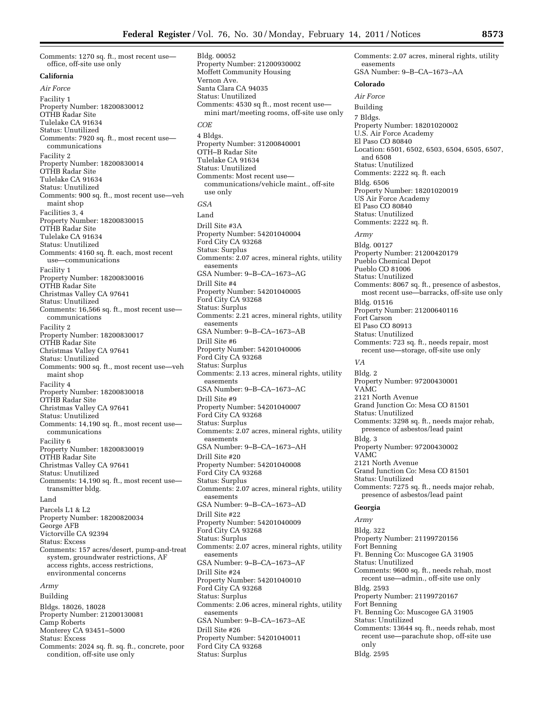Comments: 1270 sq. ft., most recent use office, off-site use only

#### **California**

*Air Force*  Facility 1 Property Number: 18200830012 OTHB Radar Site Tulelake CA 91634 Status: Unutilized Comments: 7920 sq. ft., most recent use communications Facility 2 Property Number: 18200830014 OTHB Radar Site Tulelake CA 91634 Status: Unutilized Comments: 900 sq. ft., most recent use—veh maint shop Facilities 3, 4 Property Number: 18200830015 OTHB Radar Site Tulelake CA 91634 Status: Unutilized Comments: 4160 sq. ft. each, most recent use—communications Facility 1 Property Number: 18200830016 OTHB Radar Site Christmas Valley CA 97641 Status: Unutilized Comments: 16,566 sq. ft., most recent use communications Facility 2 Property Number: 18200830017 OTHB Radar Site Christmas Valley CA 97641 Status: Unutilized Comments: 900 sq. ft., most recent use—veh maint shop Facility 4 Property Number: 18200830018 OTHB Radar Site Christmas Valley CA 97641 Status: Unutilized Comments: 14,190 sq. ft., most recent use communications Facility 6 Property Number: 18200830019 OTHB Radar Site Christmas Valley CA 97641 Status: Unutilized Comments: 14,190 sq. ft., most recent use transmitter bldg. Land Parcels L1 & L2 Property Number: 18200820034 George AFB Victorville CA 92394 Status: Excess Comments: 157 acres/desert, pump-and-treat system, groundwater restrictions, AF access rights, access restrictions, environmental concerns *Army*  Building Bldgs. 18026, 18028 Property Number: 21200130081 Camp Roberts Monterey CA 93451–5000

Status: Excess

Comments: 2024 sq. ft. sq. ft., concrete, poor

condition, off-site use only

Bldg. 00052 Property Number: 21200930002 Moffett Community Housing Vernon Ave. Santa Clara CA 94035 Status: Unutilized Comments: 4530 sq ft., most recent use mini mart/meeting rooms, off-site use only *COE*  4 Bldgs. Property Number: 31200840001 OTH–B Radar Site Tulelake CA 91634 Status: Unutilized Comments: Most recent use communications/vehicle maint., off-site use only *GSA*  Land Drill Site #3A Property Number: 54201040004 Ford City CA 93268 Status: Surplus Comments: 2.07 acres, mineral rights, utility easements GSA Number: 9–B–CA–1673–AG Drill Site #4 Property Number: 54201040005 Ford City CA 93268 Status: Surplus Comments: 2.21 acres, mineral rights, utility easements GSA Number: 9–B–CA–1673–AB Drill Site #6 Property Number: 54201040006 Ford City CA 93268 Status: Surplus Comments: 2.13 acres, mineral rights, utility easements GSA Number: 9–B–CA–1673–AC Drill Site #9 Property Number: 54201040007 Ford City CA 93268 Status: Surplus Comments: 2.07 acres, mineral rights, utility easements GSA Number: 9–B–CA–1673–AH Drill Site #20 Property Number: 54201040008 Ford City CA 93268 Status: Surplus Comments: 2.07 acres, mineral rights, utility easements GSA Number: 9–B–CA–1673–AD Drill Site #22 Property Number: 54201040009 Ford City CA 93268 Status: Surplus Comments: 2.07 acres, mineral rights, utility easements GSA Number: 9–B–CA–1673–AF Drill Site #24 Property Number: 54201040010 Ford City CA 93268 Status: Surplus Comments: 2.06 acres, mineral rights, utility easements GSA Number: 9–B–CA–1673–AE Drill Site #26 Property Number: 54201040011 Ford City CA 93268 Status: Surplus

Comments: 2.07 acres, mineral rights, utility easements GSA Number: 9–B–CA–1673–AA **Colorado**  *Air Force*  Building 7 Bldgs. Property Number: 18201020002 U.S. Air Force Academy El Paso CO 80840 Location: 6501, 6502, 6503, 6504, 6505, 6507, and 6508 Status: Unutilized Comments: 2222 sq. ft. each Bldg. 6506 Property Number: 18201020019 US Air Force Academy El Paso CO 80840 Status: Unutilized Comments: 2222 sq. ft. *Army*  Bldg. 00127 Property Number: 21200420179 Pueblo Chemical Depot Pueblo CO 81006 Status: Unutilized Comments: 8067 sq. ft., presence of asbestos, most recent use—barracks, off-site use only Bldg. 01516 Property Number: 21200640116 Fort Carson El Paso CO 80913 Status: Unutilized Comments: 723 sq. ft., needs repair, most recent use—storage, off-site use only *VA*  Bldg. 2 Property Number: 97200430001 VAMC 2121 North Avenue Grand Junction Co: Mesa CO 81501 Status: Unutilized Comments: 3298 sq. ft., needs major rehab, presence of asbestos/lead paint Bldg. 3 Property Number: 97200430002 VAMC 2121 North Avenue Grand Junction Co: Mesa CO 81501 Status: Unutilized Comments: 7275 sq. ft., needs major rehab, presence of asbestos/lead paint **Georgia**  *Army*  Bldg. 322 Property Number: 21199720156 Fort Benning Ft. Benning Co: Muscogee GA 31905 Status: Unutilized Comments: 9600 sq. ft., needs rehab, most recent use—admin., off-site use only Bldg. 2593 Property Number: 21199720167 Fort Benning Ft. Benning Co: Muscogee GA 31905 Status: Unutilized Comments: 13644 sq. ft., needs rehab, most recent use—parachute shop, off-site use only

Bldg. 2595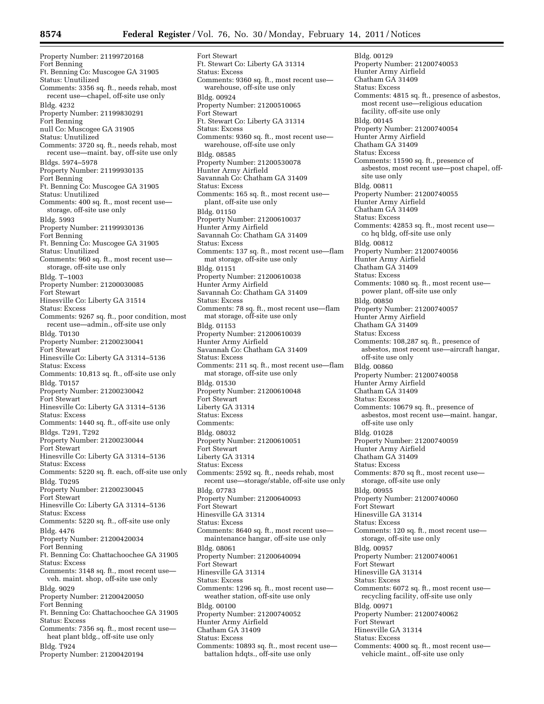Property Number: 21199720168 Fort Benning Ft. Benning Co: Muscogee GA 31905 Status: Unutilized Comments: 3356 sq. ft., needs rehab, most recent use—chapel, off-site use only Bldg. 4232 Property Number: 21199830291 Fort Benning null Co: Muscogee GA 31905 Status: Unutilized Comments: 3720 sq. ft., needs rehab, most recent use—maint. bay, off-site use only Bldgs. 5974–5978 Property Number: 21199930135 Fort Benning Ft. Benning Co: Muscogee GA 31905 Status: Unutilized Comments: 400 sq. ft., most recent use storage, off-site use only Bldg. 5993 Property Number: 21199930136 Fort Benning Ft. Benning Co: Muscogee GA 31905 Status: Unutilized Comments: 960 sq. ft., most recent use storage, off-site use only Bldg. T–1003 Property Number: 21200030085 Fort Stewart Hinesville Co: Liberty GA 31514 Status: Excess Comments: 9267 sq. ft., poor condition, most recent use—admin., off-site use only Bldg. T0130 Property Number: 21200230041 Fort Stewart Hinesville Co: Liberty GA 31314–5136 Status: Excess Comments: 10,813 sq. ft., off-site use only Bldg. T0157 Property Number: 21200230042 Fort Stewart Hinesville Co: Liberty GA 31314–5136 Status: Excess Comments: 1440 sq. ft., off-site use only Bldgs. T291, T292 Property Number: 21200230044 Fort Stewart Hinesville Co: Liberty GA 31314–5136 Status: Excess Comments: 5220 sq. ft. each, off-site use only Bldg. T0295 Property Number: 21200230045 Fort Stewart Hinesville Co: Liberty GA 31314–5136 Status: Excess Comments: 5220 sq. ft., off-site use only Bldg. 4476 Property Number: 21200420034 Fort Benning Ft. Benning Co: Chattachoochee GA 31905 Status: Excess Comments: 3148 sq. ft., most recent use veh. maint. shop, off-site use only Bldg. 9029 Property Number: 21200420050 Fort Benning Ft. Benning Co: Chattachoochee GA 31905 Status: Excess Comments: 7356 sq. ft., most recent use heat plant bldg., off-site use only Bldg. T924 Property Number: 21200420194

Fort Stewart Ft. Stewart Co: Liberty GA 31314 Status: Excess Comments: 9360 sq. ft., most recent use warehouse, off-site use only Bldg. 00924 Property Number: 21200510065 Fort Stewart Ft. Stewart Co: Liberty GA 31314 Status: Excess Comments: 9360 sq. ft., most recent use warehouse, off-site use only Bldg. 08585 Property Number: 21200530078 Hunter Army Airfield Savannah Co: Chatham GA 31409 Status: Excess Comments: 165 sq. ft., most recent use plant, off-site use only Bldg. 01150 Property Number: 21200610037 Hunter Army Airfield Savannah Co: Chatham GA 31409 Status: Excess Comments: 137 sq. ft., most recent use—flam mat storage, off-site use only Bldg. 01151 Property Number: 21200610038 Hunter Army Airfield Savannah Co: Chatham GA 31409 Status: Excess Comments: 78 sq. ft., most recent use—flam mat storage, off-site use only Bldg. 01153 Property Number: 21200610039 Hunter Army Airfield Savannah Co: Chatham GA 31409 Status: Excess Comments: 211 sq. ft., most recent use—flam mat storage, off-site use only Bldg. 01530 Property Number: 21200610048 Fort Stewart Liberty GA 31314 Status: Excess Comments: Bldg. 08032 Property Number: 21200610051 Fort Stewart Liberty GA 31314 Status: Excess Comments: 2592 sq. ft., needs rehab, most recent use—storage/stable, off-site use only Bldg. 07783 Property Number: 21200640093 Fort Stewart Hinesville GA 31314 Status: Excess Comments: 8640 sq. ft., most recent use maintenance hangar, off-site use only Bldg. 08061 Property Number: 21200640094 Fort Stewart Hinesville GA 31314 Status: Excess Comments: 1296 sq. ft., most recent use weather station, off-site use only Bldg. 00100 Property Number: 21200740052 Hunter Army Airfield Chatham GA 31409 Status: Excess Comments: 10893 sq. ft., most recent use battalion hdqts., off-site use only

Bldg. 00129 Property Number: 21200740053 Hunter Army Airfield Chatham GA 31409 Status: Excess Comments: 4815 sq. ft., presence of asbestos, most recent use—religious education facility, off-site use only Bldg. 00145 Property Number: 21200740054 Hunter Army Airfield Chatham GA 31409 Status: Excess Comments: 11590 sq. ft., presence of asbestos, most recent use—post chapel, offsite use only Bldg. 00811 Property Number: 21200740055 Hunter Army Airfield Chatham GA 31409 Status: Excess Comments: 42853 sq. ft., most recent use co hq bldg, off-site use only Bldg. 00812 Property Number: 21200740056 Hunter Army Airfield Chatham GA 31409 Status: Excess Comments: 1080 sq. ft., most recent use power plant, off-site use only Bldg. 00850 Property Number: 21200740057 Hunter Army Airfield Chatham GA 31409 Status: Excess Comments: 108,287 sq. ft., presence of asbestos, most recent use—aircraft hangar, off-site use only Bldg. 00860 Property Number: 21200740058 Hunter Army Airfield Chatham GA 31409 Status: Excess Comments: 10679 sq. ft., presence of asbestos, most recent use—maint. hangar, off-site use only Bldg. 01028 Property Number: 21200740059 Hunter Army Airfield Chatham GA 31409 Status: Excess Comments: 870 sq ft., most recent use storage, off-site use only Bldg. 00955 Property Number: 21200740060 Fort Stewart Hinesville GA 31314 Status: Excess Comments: 120 sq. ft., most recent use storage, off-site use only Bldg. 00957 Property Number: 21200740061 Fort Stewart Hinesville GA 31314 Status: Excess Comments: 6072 sq. ft., most recent use recycling facility, off-site use only Bldg. 00971 Property Number: 21200740062 Fort Stewart Hinesville GA 31314 Status: Excess Comments: 4000 sq. ft., most recent use vehicle maint., off-site use only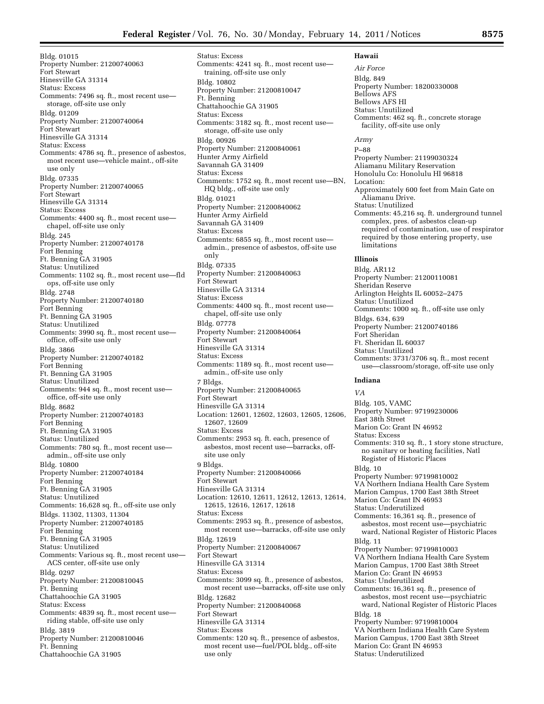Bldg. 01015 Property Number: 21200740063 Fort Stewart Hinesville GA 31314 Status: Excess Comments: 7496 sq. ft., most recent use storage, off-site use only Bldg. 01209 Property Number: 21200740064 Fort Stewart Hinesville GA 31314 Status: Excess Comments: 4786 sq. ft., presence of asbestos, most recent use—vehicle maint., off-site use only Bldg. 07335 Property Number: 21200740065 Fort Stewart Hinesville GA 31314 Status: Excess Comments: 4400 sq. ft., most recent use chapel, off-site use only Bldg. 245 Property Number: 21200740178 Fort Benning Ft. Benning GA 31905 Status: Unutilized Comments: 1102 sq. ft., most recent use—fld ops, off-site use only Bldg. 2748 Property Number: 21200740180 Fort Benning Ft. Benning GA 31905 Status: Unutilized Comments: 3990 sq. ft., most recent use office, off-site use only Bldg. 3866 Property Number: 21200740182 Fort Benning Ft. Benning GA 31905 Status: Unutilized Comments: 944 sq. ft., most recent use office, off-site use only Bldg. 8682 Property Number: 21200740183 Fort Benning Ft. Benning GA 31905 Status: Unutilized Comments: 780 sq. ft., most recent use admin., off-site use only Bldg. 10800 Property Number: 21200740184 Fort Benning Ft. Benning GA 31905 Status: Unutilized Comments: 16,628 sq. ft., off-site use only Bldgs. 11302, 11303, 11304 Property Number: 21200740185 Fort Benning Ft. Benning GA 31905 Status: Unutilized Comments: Various sq. ft., most recent use— ACS center, off-site use only Bldg. 0297 Property Number: 21200810045 Ft. Benning Chattahoochie GA 31905 Status: Excess Comments: 4839 sq. ft., most recent use riding stable, off-site use only Bldg. 3819 Property Number: 21200810046 Ft. Benning Chattahoochie GA 31905

Status: Excess Comments: 4241 sq. ft., most recent use training, off-site use only Bldg. 10802 Property Number: 21200810047 Ft. Benning Chattahoochie GA 31905 Status: Excess Comments: 3182 sq. ft., most recent use storage, off-site use only Bldg. 00926 Property Number: 21200840061 Hunter Army Airfield Savannah GA 31409 Status: Excess Comments: 1752 sq. ft., most recent use—BN, HQ bldg., off-site use only Bldg. 01021 Property Number: 21200840062 Hunter Army Airfield Savannah GA 31409 Status: Excess Comments: 6855 sq. ft., most recent use admin., presence of asbestos, off-site use only Bldg. 07335 Property Number: 21200840063 Fort Stewart Hinesville GA 31314 Status: Excess Comments: 4400 sq. ft., most recent use chapel, off-site use only Bldg. 07778 Property Number: 21200840064 Fort Stewart Hinesville GA 31314 Status: Excess Comments: 1189 sq. ft., most recent use admin., off-site use only 7 Bldgs. Property Number: 21200840065 Fort Stewart Hinesville GA 31314 Location: 12601, 12602, 12603, 12605, 12606, 12607, 12609 Status: Excess Comments: 2953 sq. ft. each, presence of asbestos, most recent use—barracks, offsite use only 9 Bldgs. Property Number: 21200840066 Fort Stewart Hinesville GA 31314 Location: 12610, 12611, 12612, 12613, 12614, 12615, 12616, 12617, 12618 Status: Excess Comments: 2953 sq. ft., presence of asbestos, most recent use—barracks, off-site use only Bldg. 12619 Property Number: 21200840067 Fort Stewart Hinesville GA 31314 Status: Excess Comments: 3099 sq. ft., presence of asbestos, most recent use—barracks, off-site use only Bldg. 12682 Property Number: 21200840068 Fort Stewart Hinesville GA 31314 Status: Excess Comments: 120 sq. ft., presence of asbestos, most recent use—fuel/POL bldg., off-site use only

#### **Hawaii**  *Air Force*

Bldg. 849 Property Number: 18200330008 Bellows AFS Bellows AFS HI Status: Unutilized Comments: 462 sq. ft., concrete storage facility, off-site use only *Army*  P–88 Property Number: 21199030324 Aliamanu Military Reservation Honolulu Co: Honolulu HI 96818 Location: Approximately 600 feet from Main Gate on Aliamanu Drive. Status: Unutilized Comments: 45,216 sq. ft. underground tunnel complex, pres. of asbestos clean-up required of contamination, use of respirator required by those entering property, use limitations **Illinois**  Bldg. AR112 Property Number: 21200110081 Sheridan Reserve Arlington Heights IL 60052–2475 Status: Unutilized Comments: 1000 sq. ft., off-site use only Bldgs. 634, 639 Property Number: 21200740186 Fort Sheridan Ft. Sheridan IL 60037 Status: Unutilized Comments: 3731/3706 sq. ft., most recent use—classroom/storage, off-site use only **Indiana**  *VA*  Bldg. 105, VAMC Property Number: 97199230006 East 38th Street Marion Co: Grant IN 46952 Status: Excess Comments: 310 sq. ft., 1 story stone structure, no sanitary or heating facilities, Natl Register of Historic Places Bldg. 10 Property Number: 97199810002 VA Northern Indiana Health Care System Marion Campus, 1700 East 38th Street Marion Co: Grant IN 46953 Status: Underutilized Comments: 16,361 sq. ft., presence of asbestos, most recent use—psychiatric ward, National Register of Historic Places Bldg. 11 Property Number: 97199810003 VA Northern Indiana Health Care System Marion Campus, 1700 East 38th Street Marion Co: Grant IN 46953 Status: Underutilized Comments: 16,361 sq. ft., presence of asbestos, most recent use—psychiatric ward, National Register of Historic Places Bldg. 18 Property Number: 97199810004 VA Northern Indiana Health Care System Marion Campus, 1700 East 38th Street Marion Co: Grant IN 46953

Status: Underutilized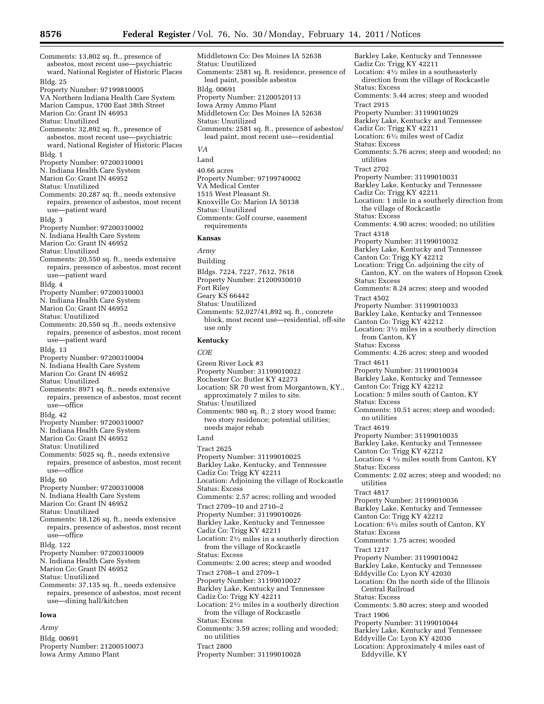Comments: 13,802 sq. ft., presence of asbestos, most recent use—psychiatric ward, National Register of Historic Places Bldg. 25 Property Number: 97199810005 VA Northern Indiana Health Care System Marion Campus, 1700 East 38th Street Marion Co: Grant IN 46953 Status: Unutilized Comments: 32,892 sq. ft., presence of asbestos, most recent use—psychiatric ward, National Register of Historic Places Bldg. 1 Property Number: 97200310001 N. Indiana Health Care System Marion Co: Grant IN 46952 Status: Unutilized Comments: 20,287 sq. ft., needs extensive repairs, presence of asbestos, most recent use—patient ward Bldg. 3 Property Number: 97200310002 N. Indiana Health Care System Marion Co: Grant IN 46952 Status: Unutilized Comments: 20,550 sq. ft., needs extensive repairs, presence of asbestos, most recent use—patient ward Bldg. 4 Property Number: 97200310003 N. Indiana Health Care System Marion Co: Grant IN 46952 Status: Unutilized Comments: 20,550 sq .ft., needs extensive repairs, presence of asbestos, most recent use—patient ward Bldg. 13 Property Number: 97200310004 N. Indiana Health Care System Marion Co: Grant IN 46952 Status: Unutilized Comments: 8971 sq. ft., needs extensive repairs, presence of asbestos, most recent use—office Bldg. 42 Property Number: 97200310007 N. Indiana Health Care System Marion Co: Grant IN 46952 Status: Unutilized Comments: 5025 sq. ft., needs extensive repairs, presence of asbestos, most recent use—office Bldg. 60 Property Number: 97200310008 N. Indiana Health Care System Marion Co: Grant IN 46952 Status: Unutilized Comments: 18,126 sq. ft., needs extensive repairs, presence of asbestos, most recent use—office Bldg. 122 Property Number: 97200310009 N. Indiana Health Care System Marion Co: Grant IN 46952 Status: Unutilized Comments: 37,135 sq. ft., needs extensive repairs, presence of asbestos, most recent use—dining hall/kitchen **Iowa** 

*Army*  Bldg. 00691 Property Number: 21200510073 Iowa Army Ammo Plant

Middletown Co: Des Moines IA 52638 Status: Unutilized Comments: 2581 sq. ft. residence, presence of lead paint, possible asbestos Bldg. 00691 Property Number: 21200520113 Iowa Army Ammo Plant Middletown Co: Des Moines IA 52638 Status: Unutilized Comments: 2581 sq. ft., presence of asbestos/ lead paint, most recent use—residential *VA*  Land 40.66 acres Property Number: 97199740002 VA Medical Center

1515 West Pleasant St. Knoxville Co: Marion IA 50138 Status: Unutilized Comments: Golf course, easement requirements

#### **Kansas**

*Army*  Building Bldgs. 7224, 7227, 7612, 7618 Property Number: 21200930010 Fort Riley Geary KS 66442 Status: Unutilized Comments: 52,027/41,892 sq. ft., concrete block, most recent use—residential, off-site use only

#### **Kentucky**

*COE* 

Green River Lock #3 Property Number: 31199010022 Rochester Co: Butler KY 42273 Location: SR 70 west from Morgantown, KY., approximately 7 miles to site. Status: Unutilized Comments: 980 sq. ft.; 2 story wood frame; two story residence; potential utilities; needs major rehab Land Tract 2625 Property Number: 31199010025 Barkley Lake, Kentucky, and Tennessee Cadiz Co: Trigg KY 42211 Location: Adjoining the village of Rockcastle Status: Excess Comments: 2.57 acres; rolling and wooded Tract 2709–10 and 2710–2 Property Number: 31199010026 Barkley Lake, Kentucky and Tennessee Cadiz Co: Trigg KY 42211 Location: 21⁄2 miles in a southerly direction from the village of Rockcastle Status: Excess Comments: 2.00 acres; steep and wooded Tract 2708–1 and 2709–1 Property Number: 31199010027 Barkley Lake, Kentucky and Tennessee Cadiz Co: Trigg KY 42211 Location: 21⁄2 miles in a southerly direction from the village of Rockcastle Status: Excess Comments: 3.59 acres; rolling and wooded; no utilities Tract 2800 Property Number: 31199010028

Cadiz Co: Trigg KY 42211 Location: 41⁄2 miles in a southeasterly direction from the village of Rockcastle Status: Excess Comments: 5.44 acres; steep and wooded Tract 2915 Property Number: 31199010029 Barkley Lake, Kentucky and Tennessee Cadiz Co: Trigg KY 42211 Location: 61⁄2 miles west of Cadiz Status: Excess Comments: 5.76 acres; steep and wooded; no utilities Tract 2702 Property Number: 31199010031 Barkley Lake, Kentucky and Tennessee Cadiz Co: Trigg KY 42211 Location: 1 mile in a southerly direction from the village of Rockcastle Status: Excess Comments: 4.90 acres; wooded; no utilities Tract 4318 Property Number: 31199010032 Barkley Lake, Kentucky and Tennessee Canton Co: Trigg KY 42212 Location: Trigg Co. adjoining the city of Canton, KY. on the waters of Hopson Creek Status: Excess Comments: 8.24 acres; steep and wooded Tract 4502 Property Number: 31199010033 Barkley Lake, Kentucky and Tennessee Canton Co: Trigg KY 42212 Location: 31⁄2 miles in a southerly direction from Canton, KY Status: Excess Comments: 4.26 acres; steep and wooded Tract 4611 Property Number: 31199010034 Barkley Lake, Kentucky and Tennessee Canton Co: Trigg KY 42212 Location: 5 miles south of Canton, KY Status: Excess Comments: 10.51 acres; steep and wooded; no utilities Tract 4619 Property Number: 31199010035 Barkley Lake, Kentucky and Tennessee Canton Co: Trigg KY 42212 Location: 4 1⁄2 miles south from Canton, KY Status: Excess Comments: 2.02 acres; steep and wooded; no utilities Tract 4817 Property Number: 31199010036 Barkley Lake, Kentucky and Tennessee Canton Co: Trigg KY 42212 Location: 61⁄2 miles south of Canton, KY Status: Excess Comments: 1.75 acres; wooded Tract 1217 Property Number: 31199010042 Barkley Lake, Kentucky and Tennessee Eddyville Co: Lyon KY 42030 Location: On the north side of the Illinois Central Railroad Status: Excess Comments: 5.80 acres; steep and wooded Tract 1906 Property Number: 31199010044 Barkley Lake, Kentucky and Tennessee Eddyville Co: Lyon KY 42030 Location: Approximately 4 miles east of Eddyville, KY

Barkley Lake, Kentucky and Tennessee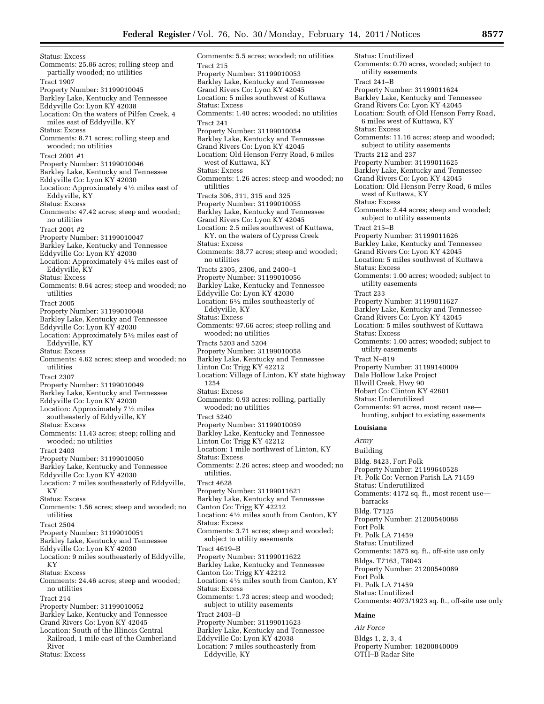Status: Excess Comments: 25.86 acres; rolling steep and partially wooded; no utilities Tract 1907 Property Number: 31199010045 Barkley Lake, Kentucky and Tennessee Eddyville Co: Lyon KY 42038 Location: On the waters of Pilfen Creek, 4 miles east of Eddyville, KY Status: Excess Comments: 8.71 acres; rolling steep and wooded; no utilities Tract 2001 #1 Property Number: 31199010046 Barkley Lake, Kentucky and Tennessee Eddyville Co: Lyon KY 42030 Location: Approximately 41⁄2 miles east of Eddyville, KY Status: Excess Comments: 47.42 acres; steep and wooded; no utilities Tract 2001 #2 Property Number: 31199010047 Barkley Lake, Kentucky and Tennessee Eddyville Co: Lyon KY 42030 Location: Approximately 41⁄2 miles east of Eddyville, KY Status: Excess Comments: 8.64 acres; steep and wooded; no utilities Tract 2005 Property Number: 31199010048 Barkley Lake, Kentucky and Tennessee Eddyville Co: Lyon KY 42030 Location: Approximately 51⁄2 miles east of Eddyville, KY Status: Excess Comments: 4.62 acres; steep and wooded; no utilities Tract 2307 Property Number: 31199010049 Barkley Lake, Kentucky and Tennessee Eddyville Co: Lyon KY 42030 Location: Approximately 71⁄2 miles southeasterly of Eddyville, KY Status: Excess Comments: 11.43 acres; steep; rolling and wooded; no utilities Tract 2403 Property Number: 31199010050 Barkley Lake, Kentucky and Tennessee Eddyville Co: Lyon KY 42030 Location: 7 miles southeasterly of Eddyville, KY Status: Excess Comments: 1.56 acres; steep and wooded; no utilities Tract 2504 Property Number: 31199010051 Barkley Lake, Kentucky and Tennessee Eddyville Co: Lyon KY 42030 Location: 9 miles southeasterly of Eddyville, KY Status: Excess Comments: 24.46 acres; steep and wooded; no utilities Tract 214 Property Number: 31199010052 Barkley Lake, Kentucky and Tennessee Grand Rivers Co: Lyon KY 42045 Location: South of the Illinois Central Railroad, 1 mile east of the Cumberland River Status: Excess

Comments: 5.5 acres; wooded; no utilities Tract 215 Property Number: 31199010053 Barkley Lake, Kentucky and Tennessee Grand Rivers Co: Lyon KY 42045 Location: 5 miles southwest of Kuttawa Status: Excess Comments: 1.40 acres; wooded; no utilities Tract 241 Property Number: 31199010054 Barkley Lake, Kentucky and Tennessee Grand Rivers Co: Lyon KY 42045 Location: Old Henson Ferry Road, 6 miles west of Kuttawa, KY Status: Excess Comments: 1.26 acres; steep and wooded; no utilities Tracts 306, 311, 315 and 325 Property Number: 31199010055 Barkley Lake, Kentucky and Tennessee Grand Rivers Co: Lyon KY 42045 Location: 2.5 miles southwest of Kuttawa, KY. on the waters of Cypress Creek Status: Excess Comments: 38.77 acres; steep and wooded; no utilities Tracts 2305, 2306, and 2400–1 Property Number: 31199010056 Barkley Lake, Kentucky and Tennessee Eddyville Co: Lyon KY 42030 Location: 61⁄2 miles southeasterly of Eddyville, KY Status: Excess Comments: 97.66 acres; steep rolling and wooded; no utilities Tracts 5203 and 5204 Property Number: 31199010058 Barkley Lake, Kentucky and Tennessee Linton Co: Trigg KY 42212 Location: Village of Linton, KY state highway 1254 Status: Excess Comments: 0.93 acres; rolling, partially wooded; no utilities Tract 5240 Property Number: 31199010059 Barkley Lake, Kentucky and Tennessee Linton Co: Trigg KY 42212 Location: 1 mile northwest of Linton, KY Status: Excess Comments: 2.26 acres; steep and wooded; no utilities. Tract 4628 Property Number: 31199011621 Barkley Lake, Kentucky and Tennessee Canton Co: Trigg KY 42212 Location: 41⁄2 miles south from Canton, KY Status: Excess Comments: 3.71 acres; steep and wooded; subject to utility easements Tract 4619–B Property Number: 31199011622 Barkley Lake, Kentucky and Tennessee Canton Co: Trigg KY 42212 Location: 41⁄2 miles south from Canton, KY Status: Excess Comments: 1.73 acres; steep and wooded; subject to utility easements Tract 2403–B Property Number: 31199011623 Barkley Lake, Kentucky and Tennessee Eddyville Co: Lyon KY 42038 Location: 7 miles southeasterly from

Eddyville, KY

Status: Unutilized Comments: 0.70 acres, wooded; subject to utility easements Tract 241–B Property Number: 31199011624 Barkley Lake, Kentucky and Tennessee Grand Rivers Co: Lyon KY 42045 Location: South of Old Henson Ferry Road, 6 miles west of Kuttawa, KY Status: Excess Comments: 11.16 acres; steep and wooded; subject to utility easements Tracts 212 and 237 Property Number: 31199011625 Barkley Lake, Kentucky and Tennessee Grand Rivers Co: Lyon KY 42045 Location: Old Henson Ferry Road, 6 miles west of Kuttawa, KY Status: Excess Comments: 2.44 acres; steep and wooded; subject to utility easements Tract 215–B Property Number: 31199011626 Barkley Lake, Kentucky and Tennessee Grand Rivers Co: Lyon KY 42045 Location: 5 miles southwest of Kuttawa Status: Excess Comments: 1.00 acres; wooded; subject to utility easements Tract 233 Property Number: 31199011627 Barkley Lake, Kentucky and Tennessee Grand Rivers Co: Lyon KY 42045 Location: 5 miles southwest of Kuttawa Status: Excess Comments: 1.00 acres; wooded; subject to utility easements Tract N–819 Property Number: 31199140009 Dale Hollow Lake Project Illwill Creek, Hwy 90 Hobart Co: Clinton KY 42601 Status: Underutilized Comments: 91 acres, most recent use hunting, subject to existing easements **Louisiana**  *Army*  Building Bldg. 8423, Fort Polk Property Number: 21199640528 Ft. Polk Co: Vernon Parish LA 71459 Status: Underutilized Comments: 4172 sq. ft., most recent use barracks Bldg. T7125 Property Number: 21200540088 Fort Polk Ft. Polk LA 71459 Status: Unutilized Comments: 1875 sq. ft., off-site use only Bldgs. T7163, T8043 Property Number: 21200540089 Fort Polk Ft. Polk LA 71459 Status: Unutilized Comments: 4073/1923 sq. ft., off-site use only

## **Maine**

*Air Force*  Bldgs 1, 2, 3, 4 Property Number: 18200840009 OTH–B Radar Site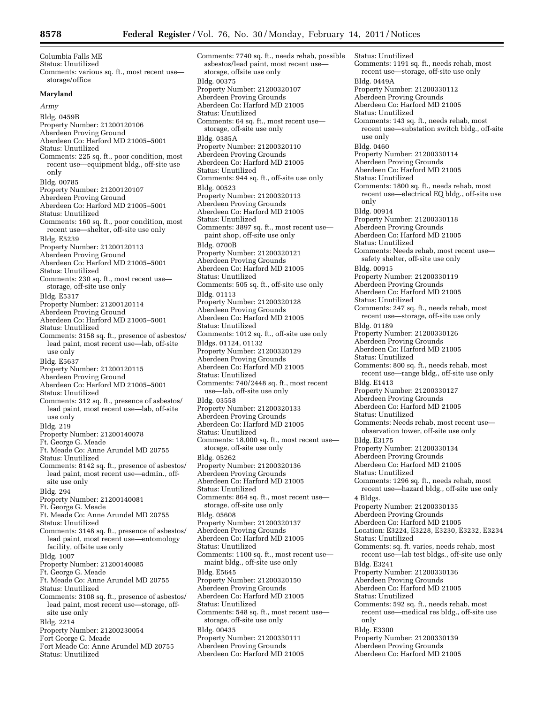Columbia Falls ME Status: Unutilized Comments: various sq. ft., most recent use storage/office **Maryland**  *Army*  Bldg. 0459B Property Number: 21200120106 Aberdeen Proving Ground Aberdeen Co: Harford MD 21005–5001 Status: Unutilized Comments: 225 sq. ft., poor condition, most recent use—equipment bldg., off-site use only Bldg. 00785 Property Number: 21200120107 Aberdeen Proving Ground Aberdeen Co: Harford MD 21005–5001 Status: Unutilized Comments: 160 sq. ft., poor condition, most recent use—shelter, off-site use only Bldg. E5239 Property Number: 21200120113 Aberdeen Proving Ground Aberdeen Co: Harford MD 21005–5001 Status: Unutilized Comments: 230 sq. ft., most recent use storage, off-site use only Bldg. E5317 Property Number: 21200120114 Aberdeen Proving Ground Aberdeen Co: Harford MD 21005–5001 Status: Unutilized Comments: 3158 sq. ft., presence of asbestos/ lead paint, most recent use—lab, off-site use only Bldg. E5637 Property Number: 21200120115 Aberdeen Proving Ground Aberdeen Co: Harford MD 21005–5001 Status: Unutilized Comments: 312 sq. ft., presence of asbestos/ lead paint, most recent use—lab, off-site use only Bldg. 219 Property Number: 21200140078 Ft. George G. Meade Ft. Meade Co: Anne Arundel MD 20755 Status: Unutilized Comments: 8142 sq. ft., presence of asbestos/ lead paint, most recent use—admin., offsite use only Bldg. 294 Property Number: 21200140081 Ft. George G. Meade Ft. Meade Co: Anne Arundel MD 20755 Status: Unutilized Comments: 3148 sq. ft., presence of asbestos/ lead paint, most recent use—entomology facility, offsite use only Bldg. 1007 Property Number: 21200140085 Ft. George G. Meade Ft. Meade Co: Anne Arundel MD 20755 Status: Unutilized Comments: 3108 sq. ft., presence of asbestos/ lead paint, most recent use—storage, offsite use only Bldg. 2214 Property Number: 21200230054 Fort George G. Meade Fort Meade Co: Anne Arundel MD 20755 Status: Unutilized

Comments: 7740 sq. ft., needs rehab, possible asbestos/lead paint, most recent use storage, offsite use only Bldg. 00375 Property Number: 21200320107 Aberdeen Proving Grounds Aberdeen Co: Harford MD 21005 Status: Unutilized Comments: 64 sq. ft., most recent use storage, off-site use only Bldg. 0385A Property Number: 21200320110 Aberdeen Proving Grounds Aberdeen Co: Harford MD 21005 Status: Unutilized Comments: 944 sq. ft., off-site use only Bldg. 00523 Property Number: 21200320113 Aberdeen Proving Grounds Aberdeen Co: Harford MD 21005 Status: Unutilized Comments: 3897 sq. ft., most recent use paint shop, off-site use only Bldg. 0700B Property Number: 21200320121 Aberdeen Proving Grounds Aberdeen Co: Harford MD 21005 Status: Unutilized Comments: 505 sq. ft., off-site use only Bldg. 01113 Property Number: 21200320128 Aberdeen Proving Grounds Aberdeen Co: Harford MD 21005 Status: Unutilized Comments: 1012 sq. ft., off-site use only Bldgs. 01124, 01132 Property Number: 21200320129 Aberdeen Proving Grounds Aberdeen Co: Harford MD 21005 Status: Unutilized Comments: 740/2448 sq. ft., most recent use—lab, off-site use only Bldg. 03558 Property Number: 21200320133 Aberdeen Proving Grounds Aberdeen Co: Harford MD 21005 Status: Unutilized Comments: 18,000 sq. ft., most recent use storage, off-site use only Bldg. 05262 Property Number: 21200320136 Aberdeen Proving Grounds Aberdeen Co: Harford MD 21005 Status: Unutilized Comments: 864 sq. ft., most recent use storage, off-site use only Bldg. 05608 Property Number: 21200320137 Aberdeen Proving Grounds Aberdeen Co: Harford MD 21005 Status: Unutilized Comments: 1100 sq. ft., most recent use maint bldg., off-site use only Bldg. E5645 Property Number: 21200320150 Aberdeen Proving Grounds Aberdeen Co: Harford MD 21005 Status: Unutilized Comments: 548 sq. ft., most recent use storage, off-site use only Bldg. 00435 Property Number: 21200330111 Aberdeen Proving Grounds Aberdeen Co: Harford MD 21005

Status: Unutilized Comments: 1191 sq. ft., needs rehab, most recent use—storage, off-site use only Bldg. 0449A Property Number: 21200330112 Aberdeen Proving Grounds Aberdeen Co: Harford MD 21005 Status: Unutilized Comments: 143 sq. ft., needs rehab, most recent use—substation switch bldg., off-site use only Bldg. 0460 Property Number: 21200330114 Aberdeen Proving Grounds Aberdeen Co: Harford MD 21005 Status: Unutilized Comments: 1800 sq. ft., needs rehab, most recent use—electrical EQ bldg., off-site use only Bldg. 00914 Property Number: 21200330118 Aberdeen Proving Grounds Aberdeen Co: Harford MD 21005 Status: Unutilized Comments: Needs rehab, most recent use safety shelter, off-site use only Bldg. 00915 Property Number: 21200330119 Aberdeen Proving Grounds Aberdeen Co: Harford MD 21005 Status: Unutilized Comments: 247 sq. ft., needs rehab, most recent use—storage, off-site use only Bldg. 01189 Property Number: 21200330126 Aberdeen Proving Grounds Aberdeen Co: Harford MD 21005 Status: Unutilized Comments: 800 sq. ft., needs rehab, most recent use—range bldg., off-site use only Bldg. E1413 Property Number: 21200330127 Aberdeen Proving Grounds Aberdeen Co: Harford MD 21005 Status: Unutilized Comments: Needs rehab, most recent use observation tower, off-site use only Bldg. E3175 Property Number: 21200330134 Aberdeen Proving Grounds Aberdeen Co: Harford MD 21005 Status: Unutilized Comments: 1296 sq. ft., needs rehab, most recent use—hazard bldg., off-site use only 4 Bldgs. Property Number: 21200330135 Aberdeen Proving Grounds Aberdeen Co: Harford MD 21005 Location: E3224, E3228, E3230, E3232, E3234 Status: Unutilized Comments: sq. ft. varies, needs rehab, most recent use—lab test bldgs., off-site use only Bldg. E3241 Property Number: 21200330136 Aberdeen Proving Grounds Aberdeen Co: Harford MD 21005 Status: Unutilized Comments: 592 sq. ft., needs rehab, most recent use—medical res bldg., off-site use only Bldg. E3300 Property Number: 21200330139 Aberdeen Proving Grounds Aberdeen Co: Harford MD 21005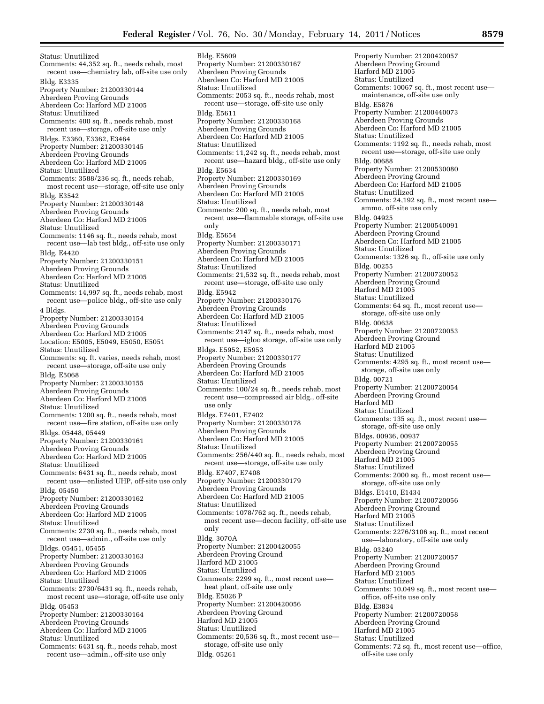Status: Unutilized Comments: 44,352 sq. ft., needs rehab, most recent use—chemistry lab, off-site use only Bldg. E3335 Property Number: 21200330144 Aberdeen Proving Grounds Aberdeen Co: Harford MD 21005 Status: Unutilized Comments: 400 sq. ft., needs rehab, most recent use—storage, off-site use only Bldgs. E3360, E3362, E3464 Property Number: 21200330145 Aberdeen Proving Grounds Aberdeen Co: Harford MD 21005 Status: Unutilized Comments: 3588/236 sq. ft., needs rehab, most recent use—storage, off-site use only Bldg. E3542 Property Number: 21200330148 Aberdeen Proving Grounds Aberdeen Co: Harford MD 21005 Status: Unutilized Comments: 1146 sq. ft., needs rehab, most recent use—lab test bldg., off-site use only Bldg. E4420 Property Number: 21200330151 Aberdeen Proving Grounds Aberdeen Co: Harford MD 21005 Status: Unutilized Comments: 14,997 sq. ft., needs rehab, most recent use—police bldg., off-site use only 4 Bldgs. Property Number: 21200330154 Aberdeen Proving Grounds Aberdeen Co: Harford MD 21005 Location: E5005, E5049, E5050, E5051 Status: Unutilized Comments: sq. ft. varies, needs rehab, most recent use—storage, off-site use only Bldg. E5068 Property Number: 21200330155 Aberdeen Proving Grounds Aberdeen Co: Harford MD 21005 Status: Unutilized Comments: 1200 sq. ft., needs rehab, most recent use—fire station, off-site use only Bldgs. 05448, 05449 Property Number: 21200330161 Aberdeen Proving Grounds Aberdeen Co: Harford MD 21005 Status: Unutilized Comments: 6431 sq. ft., needs rehab, most recent use—enlisted UHP, off-site use only Bldg. 05450 Property Number: 21200330162 Aberdeen Proving Grounds Aberdeen Co: Harford MD 21005 Status: Unutilized Comments: 2730 sq. ft., needs rehab, most recent use—admin., off-site use only Bldgs. 05451, 05455 Property Number: 21200330163 Aberdeen Proving Grounds Aberdeen Co: Harford MD 21005 Status: Unutilized Comments: 2730/6431 sq. ft., needs rehab, most recent use—storage, off-site use only Bldg. 05453 Property Number: 21200330164 Aberdeen Proving Grounds Aberdeen Co: Harford MD 21005 Status: Unutilized Comments: 6431 sq. ft., needs rehab, most recent use—admin., off-site use only

Bldg. E5609 Property Number: 21200330167 Aberdeen Proving Grounds Aberdeen Co: Harford MD 21005 Status: Unutilized Comments: 2053 sq. ft., needs rehab, most recent use—storage, off-site use only Bldg. E5611 Property Number: 21200330168 Aberdeen Proving Grounds Aberdeen Co: Harford MD 21005 Status: Unutilized Comments: 11,242 sq. ft., needs rehab, most recent use—hazard bldg., off-site use only Bldg. E5634 Property Number: 21200330169 Aberdeen Proving Grounds Aberdeen Co: Harford MD 21005 Status: Unutilized Comments: 200 sq. ft., needs rehab, most recent use—flammable storage, off-site use only Bldg. E5654 Property Number: 21200330171 Aberdeen Proving Grounds Aberdeen Co: Harford MD 21005 Status: Unutilized Comments: 21,532 sq. ft., needs rehab, most recent use—storage, off-site use only Bldg. E5942 Property Number: 21200330176 Aberdeen Proving Grounds Aberdeen Co: Harford MD 21005 Status: Unutilized Comments: 2147 sq. ft., needs rehab, most recent use—igloo storage, off-site use only Bldgs. E5952, E5953 Property Number: 21200330177 Aberdeen Proving Grounds Aberdeen Co: Harford MD 21005 Status: Unutilized Comments: 100/24 sq. ft., needs rehab, most recent use—compressed air bldg., off-site use only Bldgs. E7401, E7402 Property Number: 21200330178 Aberdeen Proving Grounds Aberdeen Co: Harford MD 21005 Status: Unutilized Comments: 256/440 sq. ft., needs rehab, most recent use—storage, off-site use only Bldg. E7407, E7408 Property Number: 21200330179 Aberdeen Proving Grounds Aberdeen Co: Harford MD 21005 Status: Unutilized Comments: 1078/762 sq. ft., needs rehab, most recent use—decon facility, off-site use only Bldg. 3070A Property Number: 21200420055 Aberdeen Proving Ground Harford MD 21005 Status: Unutilized Comments: 2299 sq. ft., most recent use heat plant, off-site use only Bldg. E5026 P Property Number: 21200420056 Aberdeen Proving Ground Harford MD 21005 Status: Unutilized Comments: 20,536 sq. ft., most recent use storage, off-site use only Bldg. 05261

Property Number: 21200420057 Aberdeen Proving Ground Harford MD 21005 Status: Unutilized Comments: 10067 sq. ft., most recent use maintenance, off-site use only Bldg. E5876 Property Number: 21200440073 Aberdeen Proving Grounds Aberdeen Co: Harford MD 21005 Status: Unutilized Comments: 1192 sq. ft., needs rehab, most recent use—storage, off-site use only Bldg. 00688 Property Number: 21200530080 Aberdeen Proving Ground Aberdeen Co: Harford MD 21005 Status: Unutilized Comments: 24,192 sq. ft., most recent use ammo, off-site use only Bldg. 04925 Property Number: 21200540091 Aberdeen Proving Ground Aberdeen Co: Harford MD 21005 Status: Unutilized Comments: 1326 sq. ft., off-site use only Bldg. 00255 Property Number: 21200720052 Aberdeen Proving Ground Harford MD 21005 Status: Unutilized Comments: 64 sq. ft., most recent use storage, off-site use only Bldg. 00638 Property Number: 21200720053 Aberdeen Proving Ground Harford MD 21005 Status: Unutilized Comments: 4295 sq. ft., most recent use storage, off-site use only Bldg. 00721 Property Number: 21200720054 Aberdeen Proving Ground Harford MD Status: Unutilized Comments: 135 sq. ft., most recent use storage, off-site use only Bldgs. 00936, 00937 Property Number: 21200720055 Aberdeen Proving Ground Harford MD 21005 Status: Unutilized Comments: 2000 sq. ft., most recent use storage, off-site use only Bldgs. E1410, E1434 Property Number: 21200720056 Aberdeen Proving Ground Harford MD 21005 Status: Unutilized Comments: 2276/3106 sq. ft., most recent use—laboratory, off-site use only Bldg. 03240 Property Number: 21200720057 Aberdeen Proving Ground Harford MD 21005 Status: Unutilized Comments: 10,049 sq. ft., most recent use office, off-site use only Bldg. E3834 Property Number: 21200720058 Aberdeen Proving Ground Harford MD 21005 Status: Unutilized Comments: 72 sq. ft., most recent use—office, off-site use only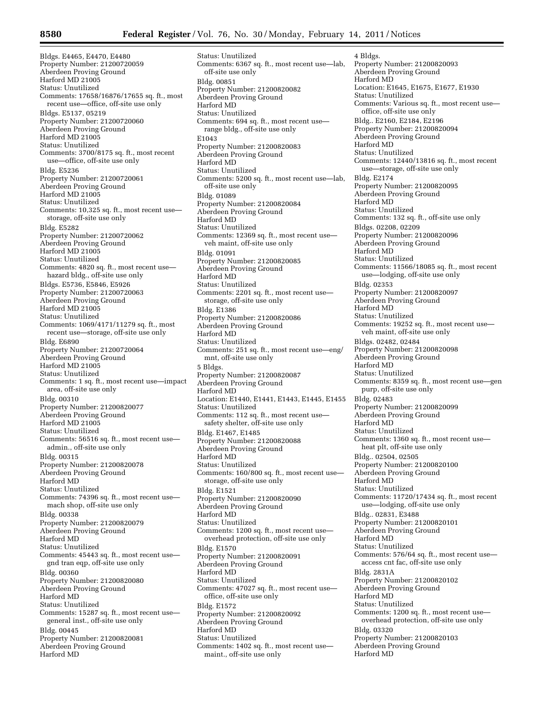Bldgs. E4465, E4470, E4480 Property Number: 21200720059 Aberdeen Proving Ground Harford MD 21005 Status: Unutilized Comments: 17658/16876/17655 sq. ft., most recent use—office, off-site use only Bldgs. E5137, 05219 Property Number: 21200720060 Aberdeen Proving Ground Harford MD 21005 Status: Unutilized Comments: 3700/8175 sq. ft., most recent use—office, off-site use only Bldg. E5236 Property Number: 21200720061 Aberdeen Proving Ground Harford MD 21005 Status: Unutilized Comments: 10,325 sq. ft., most recent use storage, off-site use only Bldg. E5282 Property Number: 21200720062 Aberdeen Proving Ground Harford MD 21005 Status: Unutilized Comments: 4820 sq. ft., most recent use hazard bldg., off-site use only Bldgs. E5736, E5846, E5926 Property Number: 21200720063 Aberdeen Proving Ground Harford MD 21005 Status: Unutilized Comments: 1069/4171/11279 sq. ft., most recent use—storage, off-site use only Bldg. E6890 Property Number: 21200720064 Aberdeen Proving Ground Harford MD 21005 Status: Unutilized Comments: 1 sq. ft., most recent use—impact area, off-site use only Bldg. 00310 Property Number: 21200820077 Aberdeen Proving Ground Harford MD 21005 Status: Unutilized Comments: 56516 sq. ft., most recent use admin., off-site use only Bldg. 00315 Property Number: 21200820078 Aberdeen Proving Ground Harford MD Status: Unutilized Comments: 74396 sq. ft., most recent use mach shop, off-site use only Bldg. 00338 Property Number: 21200820079 Aberdeen Proving Ground Harford MD Status: Unutilized Comments: 45443 sq. ft., most recent use gnd tran eqp, off-site use only Bldg. 00360 Property Number: 21200820080 Aberdeen Proving Ground Harford MD Status: Unutilized Comments: 15287 sq. ft., most recent use general inst., off-site use only Bldg. 00445 Property Number: 21200820081 Aberdeen Proving Ground Harford MD

Status: Unutilized Comments: 6367 sq. ft., most recent use—lab, off-site use only Bldg. 00851 Property Number: 21200820082 Aberdeen Proving Ground Harford MD Status: Unutilized Comments: 694 sq. ft., most recent use range bldg., off-site use only E1043 Property Number: 21200820083 Aberdeen Proving Ground Harford MD Status: Unutilized Comments: 5200 sq. ft., most recent use—lab, off-site use only Bldg. 01089 Property Number: 21200820084 Aberdeen Proving Ground Harford MD Status: Unutilized Comments: 12369 sq. ft., most recent use veh maint, off-site use only Bldg. 01091 Property Number: 21200820085 Aberdeen Proving Ground Harford MD Status: Unutilized Comments: 2201 sq. ft., most recent use storage, off-site use only Bldg. E1386 Property Number: 21200820086 Aberdeen Proving Ground Harford MD Status: Unutilized Comments: 251 sq. ft., most recent use—eng/ mnt, off-site use only 5 Bldgs. Property Number: 21200820087 Aberdeen Proving Ground Harford MD Location: E1440, E1441, E1443, E1445, E1455 Status: Unutilized Comments: 112 sq. ft., most recent use safety shelter, off-site use only Bldg. E1467, E1485 Property Number: 21200820088 Aberdeen Proving Ground Harford MD Status: Unutilized Comments: 160/800 sq. ft., most recent use storage, off-site use only Bldg. E1521 Property Number: 21200820090 Aberdeen Proving Ground Harford MD Status: Unutilized Comments: 1200 sq. ft., most recent use overhead protection, off-site use only Bldg. E1570 Property Number: 21200820091 Aberdeen Proving Ground Harford MD Status: Unutilized Comments: 47027 sq. ft., most recent use office, off-site use only Bldg. E1572 Property Number: 21200820092 Aberdeen Proving Ground Harford MD Status: Unutilized Comments: 1402 sq. ft., most recent use maint., off-site use only

4 Bldgs. Property Number: 21200820093 Aberdeen Proving Ground Harford MD Location: E1645, E1675, E1677, E1930 Status: Unutilized Comments: Various sq. ft., most recent use office, off-site use only Bldg.. E2160, E2184, E2196 Property Number: 21200820094 Aberdeen Proving Ground Harford MD Status: Unutilized Comments: 12440/13816 sq. ft., most recent use—storage, off-site use only Bldg. E2174 Property Number: 21200820095 Aberdeen Proving Ground Harford MD Status: Unutilized Comments: 132 sq. ft., off-site use only Bldgs. 02208, 02209 Property Number: 21200820096 Aberdeen Proving Ground Harford MD Status: Unutilized Comments: 11566/18085 sq. ft., most recent use—lodging, off-site use only Bldg. 02353 Property Number: 21200820097 Aberdeen Proving Ground Harford MD Status: Unutilized Comments: 19252 sq. ft., most recent use veh maint, off-site use only Bldgs. 02482, 02484 Property Number: 21200820098 Aberdeen Proving Ground Harford MD Status: Unutilized Comments: 8359 sq. ft., most recent use—gen purp, off-site use only Bldg. 02483 Property Number: 21200820099 Aberdeen Proving Ground Harford MD Status: Unutilized Comments: 1360 sq. ft., most recent use heat plt, off-site use only Bldg.. 02504, 02505 Property Number: 21200820100 Aberdeen Proving Ground Harford MD Status: Unutilized Comments: 11720/17434 sq. ft., most recent use—lodging, off-site use only Bldg.. 02831, E3488 Property Number: 21200820101 Aberdeen Proving Ground Harford MD Status: Unutilized Comments: 576/64 sq. ft., most recent use access cnt fac, off-site use only Bldg. 2831A Property Number: 21200820102 Aberdeen Proving Ground Harford MD Status: Unutilized Comments: 1200 sq. ft., most recent use overhead protection, off-site use only Bldg. 03320 Property Number: 21200820103 Aberdeen Proving Ground Harford MD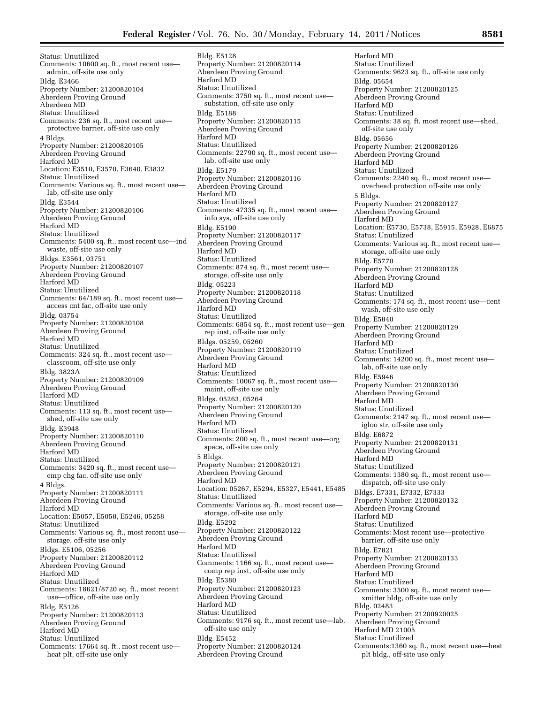Status: Unutilized Comments: 10600 sq. ft., most recent use admin, off-site use only Bldg. E3466 Property Number: 21200820104 Aberdeen Proving Ground Aberdeen MD Status: Unutilized Comments: 236 sq. ft., most recent use protective barrier, off-site use only 4 Bldgs. Property Number: 21200820105 Aberdeen Proving Ground Harford MD Location: E3510, E3570, E3640, E3832 Status: Unutilized Comments: Various sq. ft., most recent use lab, off-site use only Bldg. E3544 Property Number: 21200820106 Aberdeen Proving Ground Harford MD Status: Unutilized Comments: 5400 sq. ft., most recent use—ind waste, off-site use only Bldgs. E3561, 03751 Property Number: 21200820107 Aberdeen Proving Ground Harford MD Status: Unutilized Comments: 64/189 sq. ft., most recent use access cnt fac, off-site use only Bldg. 03754 Property Number: 21200820108 Aberdeen Proving Ground Harford MD Status: Unutilized Comments: 324 sq. ft., most recent use classroom, off-site use only Bldg. 3823A Property Number: 21200820109 Aberdeen Proving Ground Harford MD Status: Unutilized Comments: 113 sq. ft., most recent use shed, off-site use only Bldg. E3948 Property Number: 21200820110 Aberdeen Proving Ground Harford MD Status: Unutilized Comments: 3420 sq. ft., most recent use emp chg fac, off-site use only 4 Bldgs. Property Number: 21200820111 Aberdeen Proving Ground Harford MD Location: E5057, E5058, E5246, 05258 Status: Unutilized Comments: Various sq. ft., most recent use storage, off-site use only Bldgs. E5106, 05256 Property Number: 21200820112 Aberdeen Proving Ground Harford MD Status: Unutilized Comments: 18621/8720 sq. ft., most recent use—office, off-site use only Bldg. E5126 Property Number: 21200820113 Aberdeen Proving Ground Harford MD Status: Unutilized Comments: 17664 sq. ft., most recent use heat plt, off-site use only

Bldg. E5128 Property Number: 21200820114 Aberdeen Proving Ground Harford MD Status: Unutilized Comments: 3750 sq. ft., most recent use substation, off-site use only Bldg. E5188 Property Number: 21200820115 Aberdeen Proving Ground Harford MD Status: Unutilized Comments: 22790 sq. ft., most recent use lab, off-site use only Bldg. E5179 Property Number: 21200820116 Aberdeen Proving Ground Harford MD Status: Unutilized Comments: 47335 sq. ft., most recent use info sys, off-site use only Bldg. E5190 Property Number: 21200820117 Aberdeen Proving Ground Harford MD Status: Unutilized Comments: 874 sq. ft., most recent use storage, off-site use only Bldg. 05223 Property Number: 21200820118 Aberdeen Proving Ground Harford MD Status: Unutilized Comments: 6854 sq. ft., most recent use—gen rep inst, off-site use only Bldgs. 05259, 05260 Property Number: 21200820119 Aberdeen Proving Ground Harford MD Status: Unutilized Comments: 10067 sq. ft., most recent use maint, off-site use only Bldgs. 05263, 05264 Property Number: 21200820120 Aberdeen Proving Ground Harford MD Status: Unutilized Comments: 200 sq. ft., most recent use—org space, off-site use only 5 Bldgs. Property Number: 21200820121 Aberdeen Proving Ground Harford MD Location: 05267, E5294, E5327, E5441, E5485 Status: Unutilized Comments: Various sq. ft., most recent use storage, off-site use only Bldg. E5292 Property Number: 21200820122 Aberdeen Proving Ground Harford MD Status: Unutilized Comments: 1166 sq. ft., most recent use comp rep inst, off-site use only Bldg. E5380 Property Number: 21200820123 Aberdeen Proving Ground Harford MD Status: Unutilized Comments: 9176 sq. ft., most recent use—lab, off-site use only Bldg. E5452 Property Number: 21200820124 Aberdeen Proving Ground

Harford MD Status: Unutilized Comments: 9623 sq. ft., off-site use only Bldg. 05654 Property Number: 21200820125 Aberdeen Proving Ground Harford MD Status: Unutilized Comments: 38 sq. ft. most recent use—shed, off-site use only Bldg. 05656 Property Number: 21200820126 Aberdeen Proving Ground Harford MD Status: Unutilized Comments: 2240 sq. ft., most recent use overhead protection off-site use only 5 Bldgs. Property Number: 21200820127 Aberdeen Proving Ground Harford MD Location: E5730, E5738, E5915, E5928, E6875 Status: Unutilized Comments: Various sq. ft., most recent use storage, off-site use only Bldg. E5770 Property Number: 21200820128 Aberdeen Proving Ground Harford MD Status: Unutilized Comments: 174 sq. ft., most recent use—cent wash, off-site use only Bldg. E5840 Property Number: 21200820129 Aberdeen Proving Ground Harford MD Status: Unutilized Comments: 14200 sq. ft., most recent use lab, off-site use only Bldg. E5946 Property Number: 21200820130 Aberdeen Proving Ground Harford MD Status: Unutilized Comments: 2147 sq. ft., most recent use igloo str, off-site use only Bldg. E6872 Property Number: 21200820131 Aberdeen Proving Ground Harford MD Status: Unutilized Comments: 1380 sq. ft., most recent use dispatch, off-site use only Bldgs. E7331, E7332, E7333 Property Number: 21200820132 Aberdeen Proving Ground Harford MD Status: Unutilized Comments: Most recent use—protective barrier, off-site use only Bldg. E7821 Property Number: 21200820133 Aberdeen Proving Ground Harford MD Status: Unutilized Comments: 3500 sq. ft., most recent use xmitter bldg, off-site use only Bldg. 02483 Property Number: 21200920025 Aberdeen Proving Ground Harford MD 21005 Status: Unutilized Comments:1360 sq. ft., most recent use—heat plt bldg., off-site use only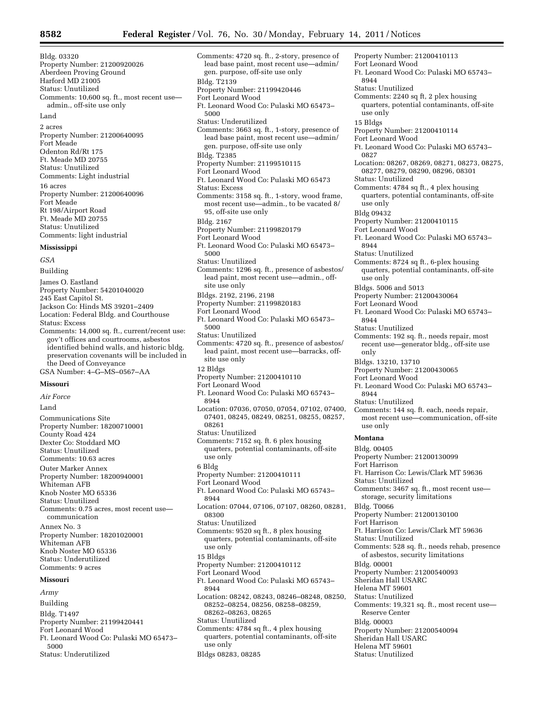2 acres Property Number: 21200640095 Fort Meade Odenton Rd/Rt 175 Ft. Meade MD 20755 Status: Unutilized Comments: Light industrial 16 acres Property Number: 21200640096 Fort Meade Rt 198/Airport Road Ft. Meade MD 20755 Status: Unutilized Comments: light industrial

#### **Mississippi**

*GSA*  Building James O. Eastland Property Number: 54201040020 245 East Capitol St. Jackson Co: Hinds MS 39201–2409 Location: Federal Bldg. and Courthouse Status: Excess Comments: 14,000 sq. ft., current/recent use: gov't offices and courtrooms, asbestos identified behind walls, and historic bldg. preservation covenants will be included in the Deed of Conveyance GSA Number: 4–G–MS–0567–AA

#### **Missouri**

*Air Force*  Land Communications Site Property Number: 18200710001 County Road 424 Dexter Co: Stoddard MO Status: Unutilized Comments: 10.63 acres Outer Marker Annex Property Number: 18200940001 Whiteman AFB Knob Noster MO 65336 Status: Unutilized Comments: 0.75 acres, most recent use communication Annex No. 3 Property Number: 18201020001 Whiteman AFB Knob Noster MO 65336 Status: Underutilized Comments: 9 acres

#### **Missouri**

*Army*  Building Bldg. T1497 Property Number: 21199420441 Fort Leonard Wood Ft. Leonard Wood Co: Pulaski MO 65473– 5000 Status: Underutilized

Comments: 4720 sq. ft., 2-story, presence of lead base paint, most recent use—admin/ gen. purpose, off-site use only Bldg. T2139 Property Number: 21199420446 Fort Leonard Wood Ft. Leonard Wood Co: Pulaski MO 65473– 5000 Status: Underutilized Comments: 3663 sq. ft., 1-story, presence of lead base paint, most recent use—admin/ gen. purpose, off-site use only Bldg. T2385 Property Number: 21199510115 Fort Leonard Wood Ft. Leonard Wood Co: Pulaski MO 65473 Status: Excess Comments: 3158 sq. ft., 1-story, wood frame, most recent use—admin., to be vacated 8/ 95, off-site use only Bldg. 2167 Property Number: 21199820179 Fort Leonard Wood Ft. Leonard Wood Co: Pulaski MO 65473– 5000 Status: Unutilized Comments: 1296 sq. ft., presence of asbestos/ lead paint, most recent use—admin., offsite use only Bldgs. 2192, 2196, 2198 Property Number: 21199820183 Fort Leonard Wood Ft. Leonard Wood Co: Pulaski MO 65473– 5000 Status: Unutilized Comments: 4720 sq. ft., presence of asbestos/ lead paint, most recent use—barracks, offsite use only 12 Bldgs Property Number: 21200410110 Fort Leonard Wood Ft. Leonard Wood Co: Pulaski MO 65743– 8944 Location: 07036, 07050, 07054, 07102, 07400, 07401, 08245, 08249, 08251, 08255, 08257, 08261 Status: Unutilized Comments: 7152 sq. ft. 6 plex housing quarters, potential contaminants, off-site use only 6 Bldg Property Number: 21200410111 Fort Leonard Wood Ft. Leonard Wood Co: Pulaski MO 65743– 8944 Location: 07044, 07106, 07107, 08260, 08281, 08300 Status: Unutilized Comments: 9520 sq ft., 8 plex housing quarters, potential contaminants, off-site use only 15 Bldgs Property Number: 21200410112 Property Number: 21200410113 Fort Leonard Wood Ft. Leonard Wood Co: Pulaski MO 65743– Status: Unutilized

Fort Leonard Wood

08262–08263, 08265 Status: Unutilized

8944

use only Bldgs 08283, 08285

Ft. Leonard Wood Co: Pulaski MO 65743–

08252–08254, 08256, 08258–08259,

Comments: 4784 sq ft., 4 plex housing quarters, potential contaminants, off-site

Location: 08242, 08243, 08246–08248, 08250, Comments: 2240 sq ft, 2 plex housing quarters, potential contaminants, off-site use only 15 Bldgs Property Number: 21200410114 Fort Leonard Wood Ft. Leonard Wood Co: Pulaski MO 65743– 0827 Location: 08267, 08269, 08271, 08273, 08275, 08277, 08279, 08290, 08296, 08301 Status: Unutilized Comments: 4784 sq ft., 4 plex housing quarters, potential contaminants, off-site use only Bldg 09432 Property Number: 21200410115 Fort Leonard Wood Ft. Leonard Wood Co: Pulaski MO 65743– 8944 Status: Unutilized Comments: 8724 sq ft., 6-plex housing quarters, potential contaminants, off-site use only Bldgs. 5006 and 5013 Property Number: 21200430064 Fort Leonard Wood Ft. Leonard Wood Co: Pulaski MO 65743– 8944 Status: Unutilized Comments: 192 sq. ft., needs repair, most recent use—generator bldg., off-site use only Bldgs. 13210, 13710 Property Number: 21200430065 Fort Leonard Wood Ft. Leonard Wood Co: Pulaski MO 65743– 8944 Status: Unutilized Comments: 144 sq. ft. each, needs repair, most recent use—communication, off-site use only **Montana**  Bldg. 00405 Property Number: 21200130099 Fort Harrison Ft. Harrison Co: Lewis/Clark MT 59636 Status: Unutilized Comments: 3467 sq. ft., most recent use storage, security limitations Bldg. T0066 Property Number: 21200130100 Fort Harrison Ft. Harrison Co: Lewis/Clark MT 59636 Status: Unutilized Comments: 528 sq. ft., needs rehab, presence of asbestos, security limitations Bldg. 00001 Property Number: 21200540093 Sheridan Hall USARC Helena MT 59601 Status: Unutilized Comments: 19,321 sq. ft., most recent use— Reserve Center Bldg. 00003 Property Number: 21200540094 Sheridan Hall USARC Helena MT 59601 Status: Unutilized

8944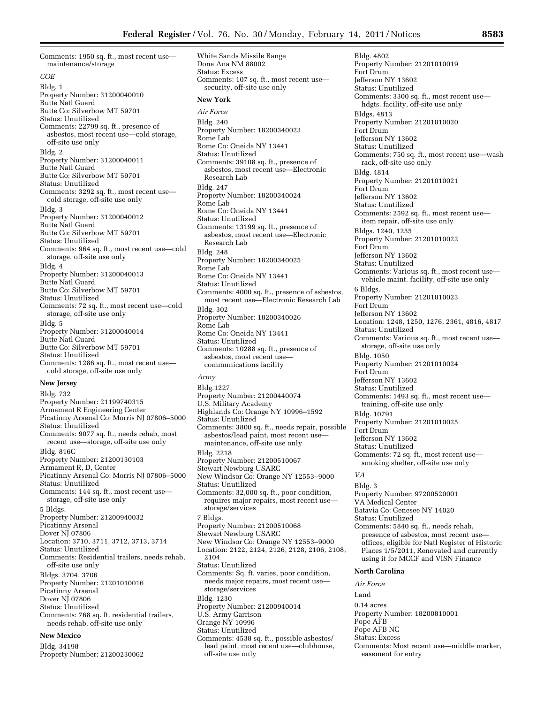Comments: 1950 sq. ft., most recent use maintenance/storage *COE*  Bldg. 1 Property Number: 31200040010 Butte Natl Guard Butte Co: Silverbow MT 59701 Status: Unutilized Comments: 22799 sq. ft., presence of asbestos, most recent use—cold storage, off-site use only Bldg. 2 Property Number: 31200040011 Butte Natl Guard Butte Co: Silverbow MT 59701 Status: Unutilized Comments: 3292 sq. ft., most recent use cold storage, off-site use only Bldg. 3 Property Number: 31200040012 Butte Natl Guard Butte Co: Silverbow MT 59701 Status: Unutilized Comments: 964 sq. ft., most recent use—cold storage, off-site use only Bldg. 4 Property Number: 31200040013 Butte Natl Guard Butte Co: Silverbow MT 59701 Status: Unutilized Comments: 72 sq. ft., most recent use—cold storage, off-site use only Bldg. 5 Property Number: 31200040014 Butte Natl Guard Butte Co: Silverbow MT 59701 Status: Unutilized Comments: 1286 sq. ft., most recent use cold storage, off-site use only **New Jersey**  Bldg. 732 Property Number: 21199740315 Armament R Engineering Center

Picatinny Arsenal Co: Morris NJ 07806–5000 Status: Unutilized Comments: 9077 sq. ft., needs rehab, most recent use—storage, off-site use only Bldg. 816C Property Number: 21200130103 Armament R, D, Center Picatinny Arsenal Co: Morris NJ 07806–5000 Status: Unutilized Comments: 144 sq. ft., most recent use storage, off-site use only 5 Bldgs. Property Number: 21200940032 Picatinny Arsenal Dover NJ 07806 Location: 3710, 3711, 3712, 3713, 3714 Status: Unutilized Comments: Residential trailers, needs rehab, off-site use only Bldgs. 3704, 3706 Property Number: 21201010016 Picatinny Arsenal Dover NI 07806 Status: Unutilized Comments: 768 sq. ft. residential trailers, needs rehab, off-site use only

#### **New Mexico**

Bldg. 34198 Property Number: 21200230062 White Sands Missile Range Dona Ana NM 88002 Status: Excess Comments: 107 sq. ft., most recent use security, off-site use only **New York**  *Air Force*  Bldg. 240 Property Number: 18200340023 Rome Lab Rome Co: Oneida NY 13441 Status: Unutilized Comments: 39108 sq. ft., presence of asbestos, most recent use—Electronic Research Lab Bldg. 247 Property Number: 18200340024 Rome Lab Rome Co: Oneida NY 13441 Status: Unutilized Comments: 13199 sq. ft., presence of asbestos, most recent use—Electronic Research Lab Bldg. 248 Property Number: 18200340025 Rome Lab Rome Co: Oneida NY 13441 Status: Unutilized Comments: 4000 sq. ft., presence of asbestos, most recent use—Electronic Research Lab Bldg. 302 Property Number: 18200340026 Rome Lab Rome Co: Oneida NY 13441 Status: Unutilized Comments: 10288 sq. ft., presence of asbestos, most recent use communications facility *Army*  Bldg.1227 Property Number: 21200440074 U.S. Military Academy

#### Highlands Co: Orange NY 10996–1592 Status: Unutilized Comments: 3800 sq. ft., needs repair, possible asbestos/lead paint, most recent use maintenance, off-site use only Bldg. 2218 Property Number: 21200510067 Stewart Newburg USARC New Windsor Co: Orange NY 12553–9000 Status: Unutilized Comments: 32,000 sq. ft., poor condition, requires major repairs, most recent use storage/services 7 Bldgs. Property Number: 21200510068 Stewart Newburg USARC New Windsor Co: Orange NY 12553–9000 Location: 2122, 2124, 2126, 2128, 2106, 2108, 2104 Status: Unutilized Comments: Sq. ft. varies, poor condition, needs major repairs, most recent use storage/services Bldg. 1230 Property Number: 21200940014 U.S. Army Garrison Orange NY 10996 Status: Unutilized Comments: 4538 sq. ft., possible asbestos/ lead paint, most recent use—clubhouse,

off-site use only

Bldg. 4802 Property Number: 21201010019 Fort Drum Jefferson NY 13602 Status: Unutilized Comments: 3300 sq. ft., most recent use hdgts. facility, off-site use only Bldgs. 4813 Property Number: 21201010020 Fort Drum Jefferson NY 13602 Status: Unutilized Comments: 750 sq. ft., most recent use—wash rack, off-site use only Bldg. 4814 Property Number: 21201010021 Fort Drum Jefferson NY 13602 Status: Unutilized Comments: 2592 sq. ft., most recent use item repair, off-site use only Bldgs. 1240, 1255 Property Number: 21201010022 Fort Drum Jefferson NY 13602 Status: Unutilized Comments: Various sq. ft., most recent use vehicle maint. facility, off-site use only 6 Bldgs. Property Number: 21201010023 Fort Drum Jefferson NY 13602 Location: 1248, 1250, 1276, 2361, 4816, 4817 Status: Unutilized Comments: Various sq. ft., most recent use storage, off-site use only Bldg. 1050 Property Number: 21201010024 Fort Drum Jefferson NY 13602 Status: Unutilized Comments: 1493 sq. ft., most recent use training, off-site use only Bldg. 10791 Property Number: 21201010025 Fort Drum Jefferson NY 13602 Status: Unutilized Comments: 72 sq. ft., most recent use smoking shelter, off-site use only *VA*  Bldg. 3 Property Number: 97200520001 VA Medical Center Batavia Co: Genesee NY 14020 Status: Unutilized Comments: 5840 sq. ft., needs rehab, presence of asbestos, most recent use offices, eligible for Natl Register of Historic Places 1/5/2011, Renovated and currently using it for MCCF and VISN Finance **North Carolina**  *Air Force*  Land

0.14 acres Property Number: 18200810001 Pope AFB

- Pope AFB NC
- Status: Excess
- Comments: Most recent use—middle marker, easement for entry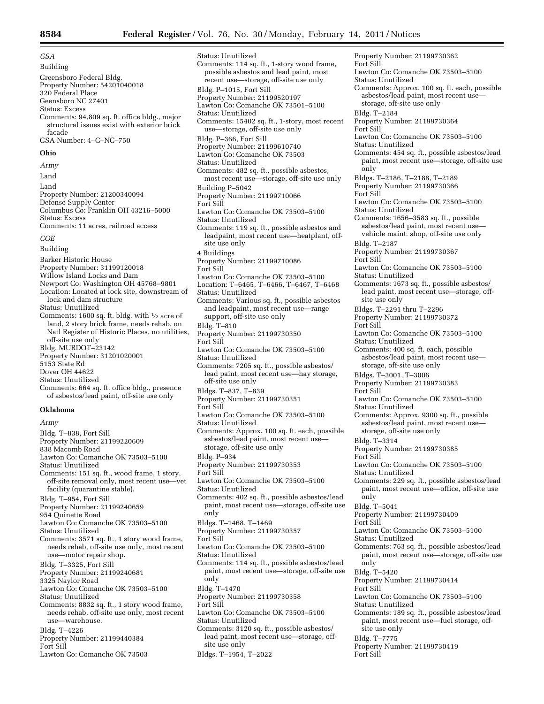*GSA*  Building Greensboro Federal Bldg. Property Number: 54201040018 320 Federal Place Geensboro NC 27401 Status: Excess Comments: 94,809 sq. ft. office bldg., major structural issues exist with exterior brick facade GSA Number: 4–G–NC–750 **Ohio**  *Army*  Land Land Property Number: 21200340094 Defense Supply Center Columbus Co: Franklin OH 43216–5000 Status: Excess Comments: 11 acres, railroad access *COE*  Building Barker Historic House Property Number: 31199120018 Willow Island Locks and Dam Newport Co: Washington OH 45768–9801 Location: Located at lock site, downstream of lock and dam structure Status: Unutilized

Comments: 1600 sq. ft. bldg. with  $\frac{1}{2}$  acre of land, 2 story brick frame, needs rehab, on Natl Register of Historic Places, no utilities, off-site use only Bldg. MURDOT–23142 Property Number: 31201020001 5153 State Rd Dover OH 44622 Status: Unutilized Comments: 664 sq. ft. office bldg., presence of asbestos/lead paint, off-site use only

#### **Oklahoma**

*Army* 

- Bldg. T–838, Fort Sill Property Number: 21199220609 838 Macomb Road Lawton Co: Comanche OK 73503–5100 Status: Unutilized Comments: 151 sq. ft., wood frame, 1 story, off-site removal only, most recent use—vet facility (quarantine stable). Bldg. T–954, Fort Sill Property Number: 21199240659 954 Quinette Road Lawton Co: Comanche OK 73503–5100 Status: Unutilized Comments: 3571 sq. ft., 1 story wood frame, needs rehab, off-site use only, most recent use—motor repair shop. Bldg. T–3325, Fort Sill Property Number: 21199240681 3325 Naylor Road Lawton Co: Comanche OK 73503–5100 Status: Unutilized Comments: 8832 sq. ft., 1 story wood frame, needs rehab, off-site use only, most recent use—warehouse. Bldg. T–4226 Property Number: 21199440384 Fort Sill
- Lawton Co: Comanche OK 73503

Status: Unutilized Comments: 114 sq. ft., 1-story wood frame, possible asbestos and lead paint, most recent use—storage, off-site use only Bldg. P–1015, Fort Sill Property Number: 21199520197 Lawton Co: Comanche OK 73501–5100 Status: Unutilized Comments: 15402 sq. ft., 1-story, most recent use—storage, off-site use only Bldg. P–366, Fort Sill Property Number: 21199610740 Lawton Co: Comanche OK 73503 Status: Unutilized Comments: 482 sq. ft., possible asbestos, most recent use—storage, off-site use only Building P–5042 Property Number: 21199710066 Fort Sill Lawton Co: Comanche OK 73503–5100 Status: Unutilized Comments: 119 sq. ft., possible asbestos and leadpaint, most recent use—heatplant, offsite use only 4 Buildings Property Number: 21199710086 Fort Sill Lawton Co: Comanche OK 73503–5100 Location: T–6465, T–6466, T–6467, T–6468 Status: Unutilized Comments: Various sq. ft., possible asbestos and leadpaint, most recent use—range support, off-site use only Bldg. T–810 Property Number: 21199730350 Fort Sill Lawton Co: Comanche OK 73503–5100 Status: Unutilized Comments: 7205 sq. ft., possible asbestos/ lead paint, most recent use—hay storage, off-site use only Bldgs. T–837, T–839 Property Number: 21199730351 Fort Sill Lawton Co: Comanche OK 73503–5100 Status: Unutilized Comments: Approx. 100 sq. ft. each, possible asbestos/lead paint, most recent use storage, off-site use only Bldg. P–934 Property Number: 21199730353 Fort Sill Lawton Co: Comanche OK 73503–5100 Status: Unutilized Comments: 402 sq. ft., possible asbestos/lead paint, most recent use—storage, off-site use only Bldgs. T–1468, T–1469 Property Number: 21199730357 Fort Sill Lawton Co: Comanche OK 73503–5100 Status: Unutilized Comments: 114 sq. ft., possible asbestos/lead paint, most recent use—storage, off-site use only Bldg. T–1470 Property Number: 21199730358 Fort Sill Lawton Co: Comanche OK 73503–5100 Status: Unutilized Comments: 3120 sq. ft., possible asbestos/ lead paint, most recent use—storage, offsite use only Bldgs. T–1954, T–2022

Property Number: 21199730362 Fort Sill Lawton Co: Comanche OK 73503–5100 Status: Unutilized Comments: Approx. 100 sq. ft. each, possible asbestos/lead paint, most recent use storage, off-site use only Bldg. T–2184 Property Number: 21199730364 Fort Sill Lawton Co: Comanche OK 73503–5100 Status: Unutilized Comments: 454 sq. ft., possible asbestos/lead paint, most recent use—storage, off-site use only Bldgs. T–2186, T–2188, T–2189 Property Number: 21199730366 Fort Sill Lawton Co: Comanche OK 73503–5100 Status: Unutilized Comments: 1656–3583 sq. ft., possible asbestos/lead paint, most recent use vehicle maint. shop, off-site use only Bldg. T–2187 Property Number: 21199730367 Fort Sill Lawton Co: Comanche OK 73503–5100 Status: Unutilized Comments: 1673 sq. ft., possible asbestos/ lead paint, most recent use—storage, offsite use only Bldgs. T–2291 thru T–2296 Property Number: 21199730372 Fort Sill Lawton Co: Comanche OK 73503–5100 Status: Unutilized Comments: 400 sq. ft. each, possible asbestos/lead paint, most recent use storage, off-site use only Bldgs. T–3001, T–3006 Property Number: 21199730383 Fort Sill Lawton Co: Comanche OK 73503–5100 Status: Unutilized Comments: Approx. 9300 sq. ft., possible asbestos/lead paint, most recent use storage, off-site use only Bldg. T–3314 Property Number: 21199730385 Fort Sill Lawton Co: Comanche OK 73503–5100 Status: Unutilized Comments: 229 sq. ft., possible asbestos/lead paint, most recent use—office, off-site use only Bldg. T–5041 Property Number: 21199730409 Fort Sill Lawton Co: Comanche OK 73503–5100 Status: Unutilized Comments: 763 sq. ft., possible asbestos/lead paint, most recent use—storage, off-site use only Bldg. T–5420 Property Number: 21199730414 Fort Sill Lawton Co: Comanche OK 73503–5100 Status: Unutilized Comments: 189 sq. ft., possible asbestos/lead paint, most recent use—fuel storage, offsite use only Bldg. T–7775 Property Number: 21199730419 Fort Sill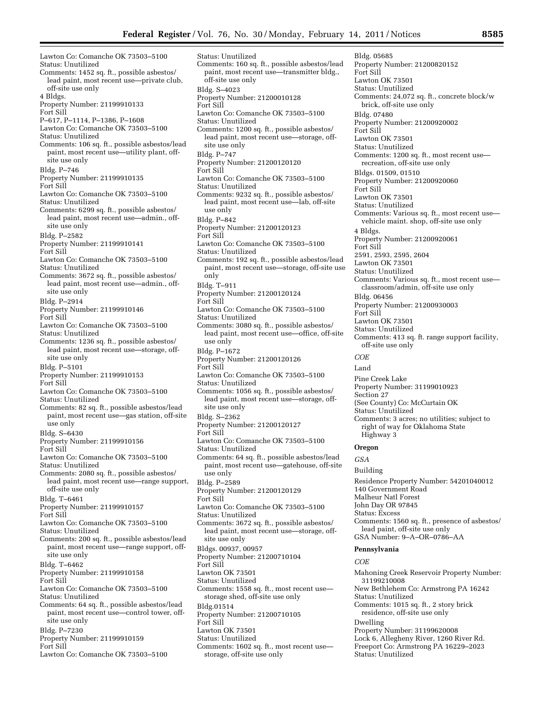Lawton Co: Comanche OK 73503–5100 Status: Unutilized Comments: 1452 sq. ft., possible asbestos/ lead paint, most recent use—private club, off-site use only 4 Bldgs. Property Number: 21199910133 Fort Sill P–617, P–1114, P–1386, P–1608 Lawton Co: Comanche OK 73503–5100 Status: Unutilized Comments: 106 sq. ft., possible asbestos/lead paint, most recent use—utility plant, offsite use only Bldg. P–746 Property Number: 21199910135 Fort Sill Lawton Co: Comanche OK 73503–5100 Status: Unutilized Comments: 6299 sq. ft., possible asbestos/ lead paint, most recent use—admin., offsite use only Bldg. P–2582 Property Number: 21199910141 Fort Sill Lawton Co: Comanche OK 73503–5100 Status: Unutilized Comments: 3672 sq. ft., possible asbestos/ lead paint, most recent use—admin., offsite use only Bldg. P–2914 Property Number: 21199910146 Fort Sill Lawton Co: Comanche OK 73503–5100 Status: Unutilized Comments: 1236 sq. ft., possible asbestos/ lead paint, most recent use—storage, offsite use only Bldg. P–5101 Property Number: 21199910153 Fort Sill Lawton Co: Comanche OK 73503–5100 Status: Unutilized Comments: 82 sq. ft., possible asbestos/lead paint, most recent use—gas station, off-site use only Bldg. S–6430 Property Number: 21199910156 Fort Sill Lawton Co: Comanche OK 73503–5100 Status: Unutilized Comments: 2080 sq. ft., possible asbestos/ lead paint, most recent use—range support, off-site use only Bldg. T–6461 Property Number: 21199910157 Fort Sill Lawton Co: Comanche OK 73503–5100 Status: Unutilized Comments: 200 sq. ft., possible asbestos/lead paint, most recent use—range support, offsite use only Bldg. T–6462 Property Number: 21199910158 Fort Sill Lawton Co: Comanche OK 73503–5100 Status: Unutilized Comments: 64 sq. ft., possible asbestos/lead paint, most recent use—control tower, offsite use only Bldg. P–7230 Property Number: 21199910159 Fort Sill Lawton Co: Comanche OK 73503–5100

Status: Unutilized Comments: 160 sq. ft., possible asbestos/lead paint, most recent use—transmitter bldg., off-site use only Bldg. S–4023 Property Number: 21200010128 Fort Sill Lawton Co: Comanche OK 73503–5100 Status: Unutilized Comments: 1200 sq. ft., possible asbestos/ lead paint, most recent use—storage, offsite use only Bldg. P–747 Property Number: 21200120120 Fort Sill Lawton Co: Comanche OK 73503–5100 Status: Unutilized Comments: 9232 sq. ft., possible asbestos/ lead paint, most recent use—lab, off-site use only Bldg. P–842 Property Number: 21200120123 Fort Sill Lawton Co: Comanche OK 73503–5100 Status: Unutilized Comments: 192 sq. ft., possible asbestos/lead paint, most recent use—storage, off-site use only Bldg. T–911 Property Number: 21200120124 Fort Sill Lawton Co: Comanche OK 73503–5100 Status: Unutilized Comments: 3080 sq. ft., possible asbestos/ lead paint, most recent use—office, off-site use only Bldg. P–1672 Property Number: 21200120126 Fort Sill Lawton Co: Comanche OK 73503–5100 Status: Unutilized Comments: 1056 sq. ft., possible asbestos/ lead paint, most recent use—storage, offsite use only Bldg. S–2362 Property Number: 21200120127 Fort Sill Lawton Co: Comanche OK 73503–5100 Status: Unutilized Comments: 64 sq. ft., possible asbestos/lead paint, most recent use—gatehouse, off-site use only Bldg. P–2589 Property Number: 21200120129 Fort Sill Lawton Co: Comanche OK 73503–5100 Status: Unutilized Comments: 3672 sq. ft., possible asbestos/ lead paint, most recent use—storage, offsite use only Bldgs. 00937, 00957 Property Number: 21200710104 Fort Sill Lawton OK 73501 Status: Unutilized Comments: 1558 sq. ft., most recent use storage shed, off-site use only Bldg.01514 Property Number: 21200710105 Fort Sill Lawton OK 73501 Status: Unutilized Comments: 1602 sq. ft., most recent use—

storage, off-site use only

Bldg. 05685 Property Number: 21200820152 Fort Sill Lawton OK 73501 Status: Unutilized Comments: 24,072 sq. ft., concrete block/w brick, off-site use only Bldg. 07480 Property Number: 21200920002 Fort Sill Lawton OK 73501 Status: Unutilized Comments: 1200 sq. ft., most recent use recreation, off-site use only Bldgs. 01509, 01510 Property Number: 21200920060 Fort Sill Lawton OK 73501 Status: Unutilized Comments: Various sq. ft., most recent use vehicle maint. shop, off-site use only 4 Bldgs. Property Number: 21200920061 Fort Sill 2591, 2593, 2595, 2604 Lawton OK 73501 Status: Unutilized Comments: Various sq. ft., most recent use classroom/admin, off-site use only Bldg. 06456 Property Number: 21200930003 Fort Sill Lawton OK 73501 Status: Unutilized Comments: 413 sq. ft. range support facility, off-site use only *COE*  Land Pine Creek Lake Property Number: 31199010923 Section 27 (See County) Co: McCurtain OK Status: Unutilized Comments: 3 acres; no utilities; subject to right of way for Oklahoma State Highway 3 **Oregon**  *GSA*  Building Residence Property Number: 54201040012 140 Government Road Malheur Natl Forest John Day OR 97845 Status: Excess Comments: 1560 sq. ft., presence of asbestos/ lead paint, off-site use only GSA Number: 9–A–OR–0786–AA **Pennsylvania**  *COE*  Mahoning Creek Reservoir Property Number: 31199210008 New Bethlehem Co: Armstrong PA 16242 Status: Unutilized Comments: 1015 sq. ft., 2 story brick residence, off-site use only Dwelling

Property Number: 31199620008 Lock 6, Allegheny River, 1260 River Rd. Freeport Co: Armstrong PA 16229–2023 Status: Unutilized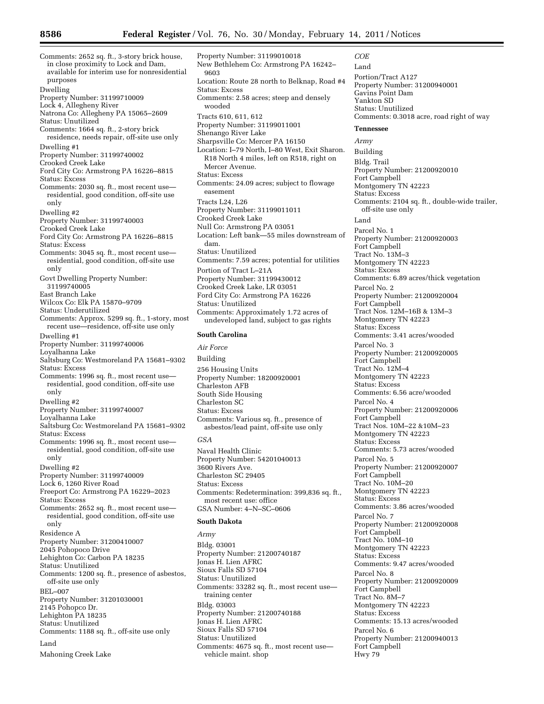*COE*  Land

Comments: 2652 sq. ft., 3-story brick house, in close proximity to Lock and Dam, available for interim use for nonresidential purposes Dwelling Property Number: 31199710009 Lock 4, Allegheny River Natrona Co: Allegheny PA 15065–2609 Status: Unutilized Comments: 1664 sq. ft., 2-story brick residence, needs repair, off-site use only Dwelling #1 Property Number: 31199740002 Crooked Creek Lake Ford City Co: Armstrong PA 16226–8815 Status: Excess Comments: 2030 sq. ft., most recent use residential, good condition, off-site use only Dwelling #2 Property Number: 31199740003 Crooked Creek Lake Ford City Co: Armstrong PA 16226–8815 Status: Excess Comments: 3045 sq. ft., most recent use residential, good condition, off-site use only Govt Dwelling Property Number: 31199740005 East Branch Lake Wilcox Co: Elk PA 15870–9709 Status: Underutilized Comments: Approx. 5299 sq. ft., 1-story, most recent use—residence, off-site use only Dwelling #1 Property Number: 31199740006 Loyalhanna Lake Saltsburg Co: Westmoreland PA 15681–9302 Status: Excess Comments: 1996 sq. ft., most recent use residential, good condition, off-site use only Dwelling #2 Property Number: 31199740007 Loyalhanna Lake Saltsburg Co: Westmoreland PA 15681–9302 Status: Excess Comments: 1996 sq. ft., most recent use residential, good condition, off-site use only Dwelling #2 Property Number: 31199740009 Lock 6, 1260 River Road Freeport Co: Armstrong PA 16229–2023 Status: Excess Comments: 2652 sq. ft., most recent use residential, good condition, off-site use only Residence A Property Number: 31200410007 2045 Pohopoco Drive Lehighton Co: Carbon PA 18235 Status: Unutilized Comments: 1200 sq. ft., presence of asbestos, off-site use only BEL–007 Property Number: 31201030001 2145 Pohopco Dr. Lehighton PA 18235 Status: Unutilized Comments: 1188 sq. ft., off-site use only Land Mahoning Creek Lake

Property Number: 31199010018 New Bethlehem Co: Armstrong PA 16242– 9603 Location: Route 28 north to Belknap, Road #4 Status: Excess Comments: 2.58 acres; steep and densely wooded Tracts 610, 611, 612 Property Number: 31199011001 Shenango River Lake Sharpsville Co: Mercer PA 16150 Location: I–79 North, I–80 West, Exit Sharon. R18 North 4 miles, left on R518, right on Mercer Avenue. Status: Excess Comments: 24.09 acres; subject to flowage easement Tracts L24, L26 Property Number: 31199011011 Crooked Creek Lake Null Co: Armstrong PA 03051 Location: Left bank—55 miles downstream of dam. Status: Unutilized Comments: 7.59 acres; potential for utilities Portion of Tract L–21A Property Number: 31199430012 Crooked Creek Lake, LR 03051 Ford City Co: Armstrong PA 16226 Status: Unutilized Comments: Approximately 1.72 acres of undeveloped land, subject to gas rights **South Carolina** 

*Air Force*  Building 256 Housing Units Property Number: 18200920001 Charleston AFB South Side Housing Charleston SC Status: Excess

Comments: Various sq. ft., presence of asbestos/lead paint, off-site use only

#### *GSA*

Naval Health Clinic Property Number: 54201040013 3600 Rivers Ave. Charleston SC 29405 Status: Excess Comments: Redetermination: 399,836 sq. ft., most recent use: office GSA Number: 4–N–SC–0606

#### **South Dakota**

*Army* 

Bldg. 03001 Property Number: 21200740187 Jonas H. Lien AFRC Sioux Falls SD 57104 Status: Unutilized Comments: 33282 sq. ft., most recent use training center Bldg. 03003 Property Number: 21200740188 Jonas H. Lien AFRC Sioux Falls SD 57104 Status: Unutilized Comments: 4675 sq. ft., most recent use vehicle maint. shop

Portion/Tract A127 Property Number: 31200940001 Gavins Point Dam Yankton SD Status: Unutilized Comments: 0.3018 acre, road right of way **Tennessee**  *Army*  Building Bldg. Trail Property Number: 21200920010 Fort Campbell Montgomery TN 42223 Status: Excess Comments: 2104 sq. ft., double-wide trailer, off-site use only Land Parcel No. 1 Property Number: 21200920003 Fort Campbell Tract No. 13M-3 Montgomery TN 42223 Status: Excess Comments: 6.89 acres/thick vegetation Parcel No. 2 Property Number: 21200920004 Fort Campbell Tract Nos. 12M–16B & 13M–3 Montgomery TN 42223 Status: Excess Comments: 3.41 acres/wooded Parcel No. 3 Property Number: 21200920005 Fort Campbell Tract No. 12M–4 Montgomery TN 42223 Status: Excess Comments: 6.56 acre/wooded Parcel No. 4 Property Number: 21200920006 Fort Campbell Tract Nos. 10M–22 &10M–23 Montgomery TN 42223 Status: Excess Comments: 5.73 acres/wooded Parcel No. 5 Property Number: 21200920007 Fort Campbell Tract No. 10M–20 Montgomery TN 42223 Status: Excess Comments: 3.86 acres/wooded Parcel No. 7 Property Number: 21200920008 Fort Campbell Tract No. 10M–10 Montgomery TN 42223 Status: Excess Comments: 9.47 acres/wooded Parcel No. 8 Property Number: 21200920009 Fort Campbell Tract No. 8M–7 Montgomery TN 42223 Status: Excess Comments: 15.13 acres/wooded Parcel No. 6 Property Number: 21200940013 Fort Campbell Hwy 79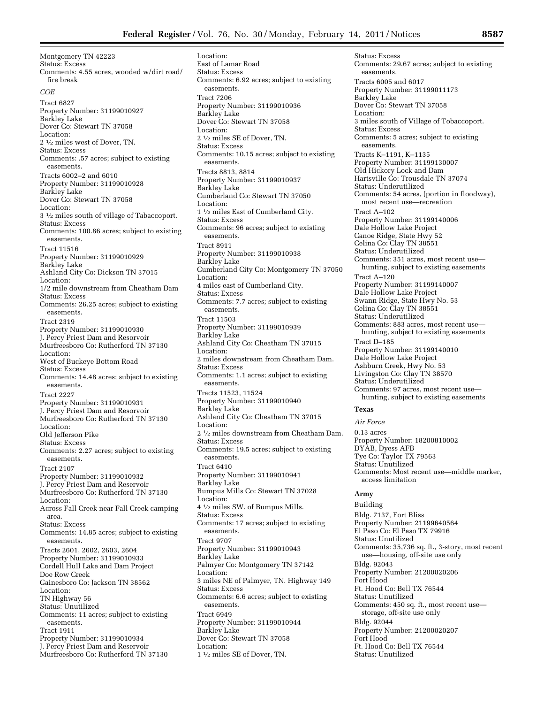Montgomery TN 42223 Status: Excess Comments: 4.55 acres, wooded w/dirt road/ fire break *COE*  Tract 6827 Property Number: 31199010927 Barkley Lake Dover Co: Stewart TN 37058 Location: 2 1⁄2 miles west of Dover, TN. Status: Excess Comments: .57 acres; subject to existing easements. Tracts 6002–2 and 6010 Property Number: 31199010928 Barkley Lake Dover Co: Stewart TN 37058 Location: 3 1⁄2 miles south of village of Tabaccoport. Status: Excess Comments: 100.86 acres; subject to existing easements. Tract 11516 Property Number: 31199010929 Barkley Lake Ashland City Co: Dickson TN 37015 Location: 1/2 mile downstream from Cheatham Dam Status: Excess Comments: 26.25 acres; subject to existing easements. Tract 2319 Property Number: 31199010930 J. Percy Priest Dam and Resorvoir Murfreesboro Co: Rutherford TN 37130 Location: West of Buckeye Bottom Road Status: Excess Comments: 14.48 acres; subject to existing easements. Tract 2227 Property Number: 31199010931 J. Percy Priest Dam and Resorvoir Murfreesboro Co: Rutherford TN 37130 Location: Old Jefferson Pike Status: Excess Comments: 2.27 acres; subject to existing easements. Tract 2107 Property Number: 31199010932 J. Percy Priest Dam and Reservoir Murfreesboro Co: Rutherford TN 37130 Location: Across Fall Creek near Fall Creek camping area. Status: Excess Comments: 14.85 acres; subject to existing easements. Tracts 2601, 2602, 2603, 2604 Property Number: 31199010933 Cordell Hull Lake and Dam Project Doe Row Creek Gainesboro Co: Jackson TN 38562 Location: TN Highway 56 Status: Unutilized Comments: 11 acres; subject to existing easements. Tract 1911 Property Number: 31199010934 J. Percy Priest Dam and Reservoir Murfreesboro Co: Rutherford TN 37130

Location: East of Lamar Road Status: Excess Comments: 6.92 acres; subject to existing easements. Tract 7206 Property Number: 31199010936 Barkley Lake Dover Co: Stewart TN 37058 Location: 2 1⁄2 miles SE of Dover, TN. Status: Excess Comments: 10.15 acres; subject to existing easements. Tracts 8813, 8814 Property Number: 31199010937 Barkley Lake Cumberland Co: Stewart TN 37050 Location: 1 1⁄2 miles East of Cumberland City. Status: Excess Comments: 96 acres; subject to existing easements. Tract 8911 Property Number: 31199010938 Barkley Lake Cumberland City Co: Montgomery TN 37050 Location: 4 miles east of Cumberland City. Status: Excess Comments: 7.7 acres; subject to existing easements. Tract 11503 Property Number: 31199010939 Barkley Lake Ashland City Co: Cheatham TN 37015 Location: 2 miles downstream from Cheatham Dam. Status: Excess Comments: 1.1 acres; subject to existing easements. Tracts 11523, 11524 Property Number: 31199010940 Barkley Lake Ashland City Co: Cheatham TN 37015 Location: 2 1⁄2 miles downstream from Cheatham Dam. Status: Excess Comments: 19.5 acres; subject to existing easements. Tract 6410 Property Number: 31199010941 Barkley Lake Bumpus Mills Co: Stewart TN 37028 Location: 4 1⁄2 miles SW. of Bumpus Mills. Status: Excess Comments: 17 acres; subject to existing easements. Tract 9707 Property Number: 31199010943 Barkley Lake Palmyer Co: Montgomery TN 37142 Location: 3 miles NE of Palmyer, TN. Highway 149 Status: Excess Comments: 6.6 acres; subject to existing easements. Tract 6949 Property Number: 31199010944 Barkley Lake Dover Co: Stewart TN 37058 Location: 1 1⁄2 miles SE of Dover, TN.

Status: Excess Comments: 29.67 acres; subject to existing easements. Tracts 6005 and 6017 Property Number: 31199011173 Barkley Lake Dover Co: Stewart TN 37058 Location: 3 miles south of Village of Tobaccoport. Status: Excess Comments: 5 acres; subject to existing easements. Tracts K–1191, K–1135 Property Number: 31199130007 Old Hickory Lock and Dam Hartsville Co: Trousdale TN 37074 Status: Underutilized Comments: 54 acres, (portion in floodway), most recent use—recreation Tract A–102 Property Number: 31199140006 Dale Hollow Lake Project Canoe Ridge, State Hwy 52 Celina Co: Clay TN 38551 Status: Underutilized Comments: 351 acres, most recent use hunting, subject to existing easements Tract A–120 Property Number: 31199140007 Dale Hollow Lake Project Swann Ridge, State Hwy No. 53 Celina Co: Clay TN 38551 Status: Underutilized Comments: 883 acres, most recent use hunting, subject to existing easements Tract D–185 Property Number: 31199140010 Dale Hollow Lake Project Ashburn Creek, Hwy No. 53 Livingston Co: Clay TN 38570 Status: Underutilized Comments: 97 acres, most recent use hunting, subject to existing easements

# **Texas**

*Air Force*  0.13 acres Property Number: 18200810002 DYAB, Dyess AFB Tye Co: Taylor TX 79563 Status: Unutilized Comments: Most recent use—middle marker, access limitation

#### **Army**

Building Bldg. 7137, Fort Bliss Property Number: 21199640564 El Paso Co: El Paso TX 79916 Status: Unutilized Comments: 35,736 sq. ft., 3-story, most recent use—housing, off-site use only Bldg. 92043 Property Number: 21200020206 Fort Hood Ft. Hood Co: Bell TX 76544 Status: Unutilized Comments: 450 sq. ft., most recent use storage, off-site use only Bldg. 92044 Property Number: 21200020207 Fort Hood Ft. Hood Co: Bell TX 76544 Status: Unutilized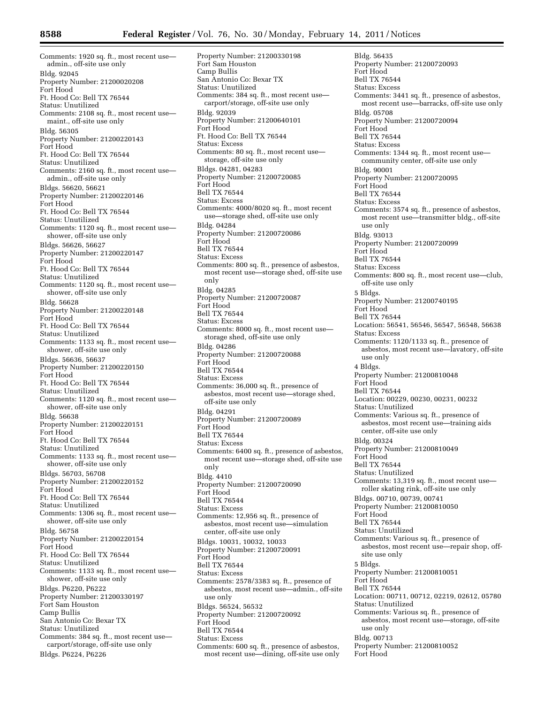Comments: 1920 sq. ft., most recent use admin., off-site use only Bldg. 92045 Property Number: 21200020208 Fort Hood Ft. Hood Co: Bell TX 76544 Status: Unutilized Comments: 2108 sq. ft., most recent use maint., off-site use only Bldg. 56305 Property Number: 21200220143 Fort Hood Ft. Hood Co: Bell TX 76544 Status: Unutilized Comments: 2160 sq. ft., most recent use admin., off-site use only Bldgs. 56620, 56621 Property Number: 21200220146 Fort Hood Ft. Hood Co: Bell TX 76544 Status: Unutilized Comments: 1120 sq. ft., most recent use shower, off-site use only Bldgs. 56626, 56627 Property Number: 21200220147 Fort Hood Ft. Hood Co: Bell TX 76544 Status: Unutilized Comments: 1120 sq. ft., most recent use shower, off-site use only Bldg. 56628 Property Number: 21200220148 Fort Hood Ft. Hood Co: Bell TX 76544 Status: Unutilized Comments: 1133 sq. ft., most recent use shower, off-site use only Bldgs. 56636, 56637 Property Number: 21200220150 Fort Hood Ft. Hood Co: Bell TX 76544 Status: Unutilized Comments: 1120 sq. ft., most recent use shower, off-site use only Bldg. 56638 Property Number: 21200220151 Fort Hood Ft. Hood Co: Bell TX 76544 Status: Unutilized Comments: 1133 sq. ft., most recent use shower, off-site use only Bldgs. 56703, 56708 Property Number: 21200220152 Fort Hood Ft. Hood Co: Bell TX 76544 Status: Unutilized Comments: 1306 sq. ft., most recent use shower, off-site use only Bldg. 56758 Property Number: 21200220154 Fort Hood Ft. Hood Co: Bell TX 76544 Status: Unutilized Comments: 1133 sq. ft., most recent use shower, off-site use only Bldgs. P6220, P6222 Property Number: 21200330197 Fort Sam Houston Camp Bullis San Antonio Co: Bexar TX Status: Unutilized Comments: 384 sq. ft., most recent use carport/storage, off-site use only Bldgs. P6224, P6226

Property Number: 21200330198 Fort Sam Houston Camp Bullis San Antonio Co: Bexar TX Status: Unutilized Comments: 384 sq. ft., most recent use carport/storage, off-site use only Bldg. 92039 Property Number: 21200640101 Fort Hood Ft. Hood Co: Bell TX 76544 Status: Excess Comments: 80 sq. ft., most recent use storage, off-site use only Bldgs. 04281, 04283 Property Number: 21200720085 Fort Hood Bell TX 76544 Status: Excess Comments: 4000/8020 sq. ft., most recent use—storage shed, off-site use only Bldg. 04284 Property Number: 21200720086 Fort Hood Bell TX 76544 Status: Excess Comments: 800 sq. ft., presence of asbestos, most recent use—storage shed, off-site use only Bldg. 04285 Property Number: 21200720087 Fort Hood Bell TX 76544 Status: Excess Comments: 8000 sq. ft., most recent use storage shed, off-site use only Bldg. 04286 Property Number: 21200720088 Fort Hood Bell TX 76544 Status: Excess Comments: 36,000 sq. ft., presence of asbestos, most recent use—storage shed, off-site use only Bldg. 04291 Property Number: 21200720089 Fort Hood Bell TX 76544 Status: Excess Comments: 6400 sq. ft., presence of asbestos, most recent use—storage shed, off-site use only Bldg. 4410 Property Number: 21200720090 Fort Hood Bell TX 76544 Status: Excess Comments: 12,956 sq. ft., presence of asbestos, most recent use—simulation center, off-site use only Bldgs. 10031, 10032, 10033 Property Number: 21200720091 Fort Hood Bell TX 76544 Status: Excess Comments: 2578/3383 sq. ft., presence of asbestos, most recent use—admin., off-site use only Bldgs. 56524, 56532 Property Number: 21200720092 Fort Hood Bell TX 76544 Status: Excess Comments: 600 sq. ft., presence of asbestos, most recent use—dining, off-site use only

Bldg. 56435 Property Number: 21200720093 Fort Hood Bell TX 76544 Status: Excess Comments: 3441 sq. ft., presence of asbestos, most recent use—barracks, off-site use only Bldg. 05708 Property Number: 21200720094 Fort Hood Bell TX 76544 Status: Excess Comments: 1344 sq. ft., most recent use community center, off-site use only Bldg. 90001 Property Number: 21200720095 Fort Hood Bell TX 76544 Status: Excess Comments: 3574 sq. ft., presence of asbestos, most recent use—transmitter bldg., off-site use only Bldg. 93013 Property Number: 21200720099 Fort Hood Bell TX 76544 Status: Excess Comments: 800 sq. ft., most recent use—club, off-site use only 5 Bldgs. Property Number: 21200740195 Fort Hood Bell TX 76544 Location: 56541, 56546, 56547, 56548, 56638 Status: Excess Comments: 1120/1133 sq. ft., presence of asbestos, most recent use—lavatory, off-site use only 4 Bldgs. Property Number: 21200810048 Fort Hood Bell TX 76544 Location: 00229, 00230, 00231, 00232 Status: Unutilized Comments: Various sq. ft., presence of asbestos, most recent use—training aids center, off-site use only Bldg. 00324 Property Number: 21200810049 Fort Hood Bell TX 76544 Status: Unutilized Comments: 13,319 sq. ft., most recent use roller skating rink, off-site use only Bldgs. 00710, 00739, 00741 Property Number: 21200810050 Fort Hood Bell TX 76544 Status: Unutilized Comments: Various sq. ft., presence of asbestos, most recent use—repair shop, offsite use only 5 Bldgs. Property Number: 21200810051 Fort Hood Bell TX 76544 Location: 00711, 00712, 02219, 02612, 05780 Status: Unutilized Comments: Various sq. ft., presence of asbestos, most recent use—storage, off-site use only Bldg. 00713 Property Number: 21200810052 Fort Hood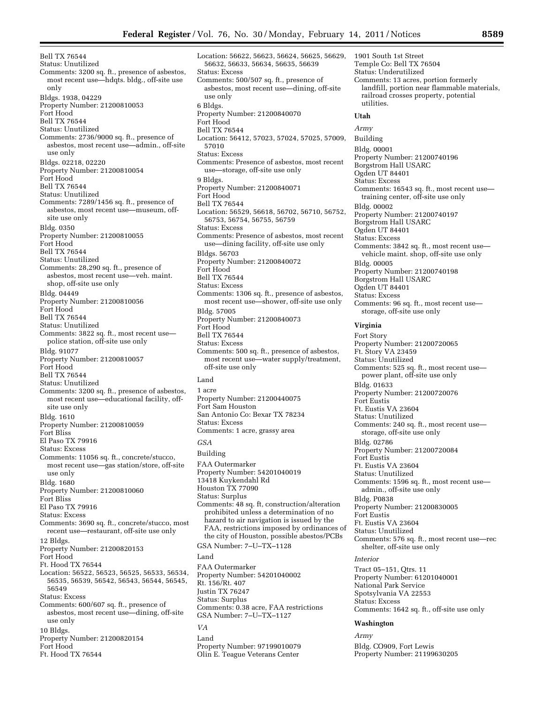Bell TX 76544 Status: Unutilized Comments: 3200 sq. ft., presence of asbestos, most recent use—hdqts. bldg., off-site use only Bldgs. 1938, 04229 Property Number: 21200810053 Fort Hood Bell TX 76544 Status: Unutilized Comments: 2736/9000 sq. ft., presence of asbestos, most recent use—admin., off-site use only Bldgs. 02218, 02220 Property Number: 21200810054 Fort Hood Bell TX 76544 Status: Unutilized Comments: 7289/1456 sq. ft., presence of asbestos, most recent use—museum, offsite use only Bldg. 0350 Property Number: 21200810055 Fort Hood Bell TX 76544 Status: Unutilized Comments: 28,290 sq. ft., presence of asbestos, most recent use—veh. maint. shop, off-site use only Bldg. 04449 Property Number: 21200810056 Fort Hood Bell TX 76544 Status: Unutilized Comments: 3822 sq. ft., most recent use police station, off-site use only Bldg. 91077 Property Number: 21200810057 Fort Hood Bell TX 76544 Status: Unutilized Comments: 3200 sq. ft., presence of asbestos, most recent use—educational facility, offsite use only Bldg. 1610 Property Number: 21200810059 Fort Bliss El Paso TX 79916 Status: Excess Comments: 11056 sq. ft., concrete/stucco, most recent use—gas station/store, off-site use only Bldg. 1680 Property Number: 21200810060 Fort Bliss El Paso TX 79916 Status: Excess Comments: 3690 sq. ft., concrete/stucco, most recent use—restaurant, off-site use only 12 Bldgs. Property Number: 21200820153 Fort Hood Ft. Hood TX 76544 Location: 56522, 56523, 56525, 56533, 56534, 56535, 56539, 56542, 56543, 56544, 56545, 56549 Status: Excess Comments: 600/607 sq. ft., presence of asbestos, most recent use—dining, off-site use only 10 Bldgs. Property Number: 21200820154 Fort Hood Ft. Hood TX 76544

Location: 56622, 56623, 56624, 56625, 56629, 56632, 56633, 56634, 56635, 56639 Status: Excess Comments: 500/507 sq. ft., presence of asbestos, most recent use—dining, off-site use only 6 Bldgs. Property Number: 21200840070 Fort Hood Bell TX 76544 Location: 56412, 57023, 57024, 57025, 57009, 57010 Status: Excess Comments: Presence of asbestos, most recent use—storage, off-site use only 9 Bldgs. Property Number: 21200840071 Fort Hood Bell TX 76544 Location: 56529, 56618, 56702, 56710, 56752, 56753, 56754, 56755, 56759 Status: Excess Comments: Presence of asbestos, most recent use—dining facility, off-site use only Bldgs. 56703 Property Number: 21200840072 Fort Hood Bell TX 76544 Status: Excess Comments: 1306 sq. ft., presence of asbestos, most recent use—shower, off-site use only Bldg. 57005 Property Number: 21200840073 Fort Hood Bell TX 76544 Status: Excess Comments: 500 sq. ft., presence of asbestos, most recent use—water supply/treatment, off-site use only Land 1 acre Property Number: 21200440075 Fort Sam Houston San Antonio Co: Bexar TX 78234 Status: Excess Comments: 1 acre, grassy area *GSA*  Building FAA Outermarker Property Number: 54201040019 13418 Kuykendahl Rd Houston TX 77090 Status: Surplus Comments: 48 sq. ft, construction/alteration prohibited unless a determination of no hazard to air navigation is issued by the FAA, restrictions imposed by ordinances of the city of Houston, possible abestos/PCBs GSA Number: 7–U–TX–1128 Land FAA Outermarker Property Number: 54201040002 Rt. 156/Rt. 407 Justin TX 76247 Status: Surplus Comments: 0.38 acre, FAA restrictions GSA Number: 7–U–TX–1127

#### *VA*

Land Property Number: 97199010079 Olin E. Teague Veterans Center

Temple Co: Bell TX 76504 Status: Underutilized Comments: 13 acres, portion formerly landfill, portion near flammable materials, railroad crosses property, potential utilities. **Utah**  *Army*  Building Bldg. 00001 Property Number: 21200740196 Borgstrom Hall USARC Ogden UT 84401 Status: Excess Comments: 16543 sq. ft., most recent use training center, off-site use only Bldg. 00002 Property Number: 21200740197 Borgstrom Hall USARC Ogden UT 84401 Status: Excess Comments: 3842 sq. ft., most recent use vehicle maint. shop, off-site use only Bldg. 00005 Property Number: 21200740198 Borgstrom Hall USARC Ogden UT 84401 Status: Excess Comments: 96 sq. ft., most recent use storage, off-site use only

1901 South 1st Street

#### **Virginia**

Fort Story Property Number: 21200720065 Ft. Story VA 23459 Status: Unutilized Comments: 525 sq. ft., most recent use power plant, off-site use only Bldg. 01633 Property Number: 21200720076 Fort Eustis Ft. Eustis VA 23604 Status: Unutilized Comments: 240 sq. ft., most recent use storage, off-site use only Bldg. 02786 Property Number: 21200720084 Fort Eustis Ft. Eustis VA 23604 Status: Unutilized Comments: 1596 sq. ft., most recent use admin., off-site use only Bldg. P0838 Property Number: 21200830005 Fort Eustis Ft. Eustis VA 23604 Status: Unutilized Comments: 576 sq. ft., most recent use—rec shelter, off-site use only *Interior* 

Tract 05–151, Qtrs. 11 Property Number: 61201040001 National Park Service Spotsylvania VA 22553 Status: Excess Comments: 1642 sq. ft., off-site use only

#### **Washington**

*Army* 

Bldg. CO909, Fort Lewis Property Number: 21199630205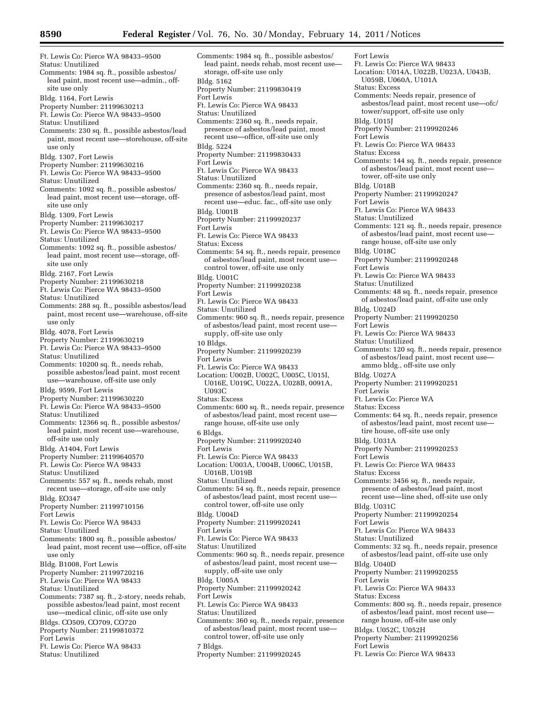Ft. Lewis Co: Pierce WA 98433–9500 Status: Unutilized Comments: 1984 sq. ft., possible asbestos/ lead paint, most recent use—admin., offsite use only Bldg. 1164, Fort Lewis Property Number: 21199630213 Ft. Lewis Co: Pierce WA 98433–9500 Status: Unutilized Comments: 230 sq. ft., possible asbestos/lead paint, most recent use—storehouse, off-site use only Bldg. 1307, Fort Lewis Property Number: 21199630216 Ft. Lewis Co: Pierce WA 98433–9500 Status: Unutilized Comments: 1092 sq. ft., possible asbestos/ lead paint, most recent use—storage, offsite use only Bldg. 1309, Fort Lewis Property Number: 21199630217 Ft. Lewis Co: Pierce WA 98433–9500 Status: Unutilized Comments: 1092 sq. ft., possible asbestos/ lead paint, most recent use—storage, offsite use only Bldg. 2167, Fort Lewis Property Number: 21199630218 Ft. Lewis Co: Pierce WA 98433–9500 Status: Unutilized Comments: 288 sq. ft., possible asbestos/lead paint, most recent use—warehouse, off-site use only Bldg. 4078, Fort Lewis Property Number: 21199630219 Ft. Lewis Co: Pierce WA 98433–9500 Status: Unutilized Comments: 10200 sq. ft., needs rehab, possible asbestos/lead paint, most recent use—warehouse, off-site use only Bldg. 9599, Fort Lewis Property Number: 21199630220 Ft. Lewis Co: Pierce WA 98433–9500 Status: Unutilized Comments: 12366 sq. ft., possible asbestos/ lead paint, most recent use—warehouse, off-site use only Bldg. A1404, Fort Lewis Property Number: 21199640570 Ft. Lewis Co: Pierce WA 98433 Status: Unutilized Comments: 557 sq. ft., needs rehab, most recent use—storage, off-site use only Bldg. EO347 Property Number: 21199710156 Fort Lewis Ft. Lewis Co: Pierce WA 98433 Status: Unutilized Comments: 1800 sq. ft., possible asbestos/ lead paint, most recent use—office, off-site use only Bldg. B1008, Fort Lewis Property Number: 21199720216 Ft. Lewis Co: Pierce WA 98433 Status: Unutilized Comments: 7387 sq. ft., 2-story, needs rehab, possible asbestos/lead paint, most recent use—medical clinic, off-site use only Bldgs. CO509, CO709, CO720 Property Number: 21199810372 Fort Lewis Ft. Lewis Co: Pierce WA 98433 Status: Unutilized

Comments: 1984 sq. ft., possible asbestos/ lead paint, needs rehab, most recent use storage, off-site use only Bldg. 5162 Property Number: 21199830419 Fort Lewis Ft. Lewis Co: Pierce WA 98433 Status: Unutilized Comments: 2360 sq. ft., needs repair, presence of asbestos/lead paint, most recent use—office, off-site use only Bldg. 5224 Property Number: 21199830433 Fort Lewis Ft. Lewis Co: Pierce WA 98433 Status: Unutilized Comments: 2360 sq. ft., needs repair, presence of asbestos/lead paint, most recent use—educ. fac., off-site use only Bldg. U001B Property Number: 21199920237 Fort Lewis Ft. Lewis Co: Pierce WA 98433 Status: Excess Comments: 54 sq. ft., needs repair, presence of asbestos/lead paint, most recent use control tower, off-site use only Bldg. U001C Property Number: 21199920238 Fort Lewis Ft. Lewis Co: Pierce WA 98433 Status: Unutilized Comments: 960 sq. ft., needs repair, presence of asbestos/lead paint, most recent use supply, off-site use only 10 Bldgs. Property Number: 21199920239 Fort Lewis Ft. Lewis Co: Pierce WA 98433 Location: U002B, U002C, U005C, U015I, U016E, U019C, U022A, U028B, 0091A, U093C Status: Excess Comments: 600 sq. ft., needs repair, presence of asbestos/lead paint, most recent use range house, off-site use only 6 Bldgs. Property Number: 21199920240 Fort Lewis Ft. Lewis Co: Pierce WA 98433 Location: U003A, U004B, U006C, U015B, U016B, U019B Status: Unutilized Comments: 54 sq. ft., needs repair, presence of asbestos/lead paint, most recent use control tower, off-site use only Bldg. U004D Property Number: 21199920241 Fort Lewis Ft. Lewis Co: Pierce WA 98433 Status: Unutilized Comments: 960 sq. ft., needs repair, presence of asbestos/lead paint, most recent use supply, off-site use only Bldg. U005A Property Number: 21199920242 Fort Lewis Ft. Lewis Co: Pierce WA 98433 Status: Unutilized Comments: 360 sq. ft., needs repair, presence of asbestos/lead paint, most recent use control tower, off-site use only 7 Bldgs. Property Number: 21199920245

Fort Lewis Ft. Lewis Co: Pierce WA 98433 Location: U014A, U022B, U023A, U043B, U059B, U060A, U101A Status: Excess Comments: Needs repair, presence of asbestos/lead paint, most recent use—ofc/ tower/support, off-site use only Bldg. U015J Property Number: 21199920246 Fort Lewis Ft. Lewis Co: Pierce WA 98433 Status: Excess Comments: 144 sq. ft., needs repair, presence of asbestos/lead paint, most recent use tower, off-site use only Bldg. U018B Property Number: 21199920247 Fort Lewis Ft. Lewis Co: Pierce WA 98433 Status: Unutilized Comments: 121 sq. ft., needs repair, presence of asbestos/lead paint, most recent use range house, off-site use only Bldg. U018C Property Number: 21199920248 Fort Lewis Ft. Lewis Co: Pierce WA 98433 Status: Unutilized Comments: 48 sq. ft., needs repair, presence of asbestos/lead paint, off-site use only Bldg. U024D Property Number: 21199920250 Fort Lewis Ft. Lewis Co: Pierce WA 98433 Status: Unutilized Comments: 120 sq. ft., needs repair, presence of asbestos/lead paint, most recent use ammo bldg., off-site use only Bldg. U027A Property Number: 21199920251 Fort Lewis Ft. Lewis Co: Pierce WA Status: Excess Comments: 64 sq. ft., needs repair, presence of asbestos/lead paint, most recent use tire house, off-site use only Bldg. U031A Property Number: 21199920253 Fort Lewis Ft. Lewis Co: Pierce WA 98433 Status: Excess Comments: 3456 sq. ft., needs repair, presence of asbestos/lead paint, most recent use—line shed, off-site use only Bldg. U031C Property Number: 21199920254 Fort Lewis Ft. Lewis Co: Pierce WA 98433 Status: Unutilized Comments: 32 sq. ft., needs repair, presence of asbestos/lead paint, off-site use only Bldg. U040D Property Number: 21199920255 Fort Lewis Ft. Lewis Co: Pierce WA 98433 Status: Excess Comments: 800 sq. ft., needs repair, presence of asbestos/lead paint, most recent use range house, off-site use only Bldgs. U052C, U052H Property Number: 21199920256 Fort Lewis Ft. Lewis Co: Pierce WA 98433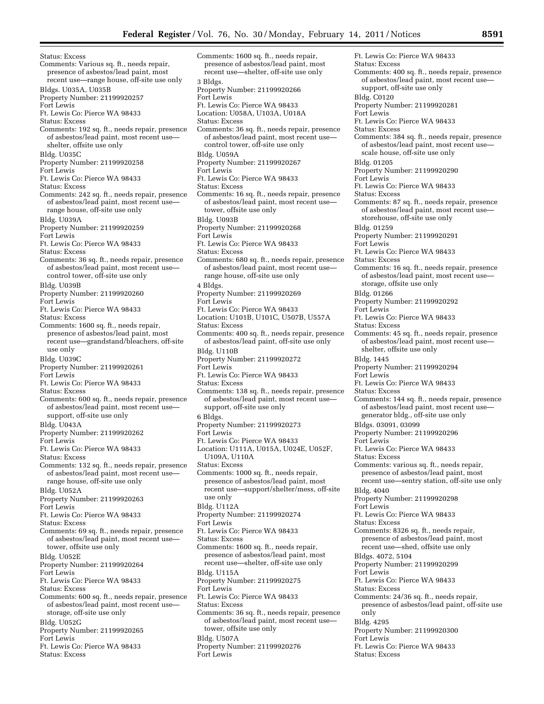Status: Excess Comments: Various sq. ft., needs repair, presence of asbestos/lead paint, most recent use—range house, off-site use only Bldgs. U035A, U035B Property Number: 21199920257 Fort Lewis Ft. Lewis Co: Pierce WA 98433 Status: Excess Comments: 192 sq. ft., needs repair, presence of asbestos/lead paint, most recent use shelter, offsite use only Bldg. U035C Property Number: 21199920258 Fort Lewis Ft. Lewis Co: Pierce WA 98433 Status: Excess Comments: 242 sq. ft., needs repair, presence of asbestos/lead paint, most recent use range house, off-site use only Bldg. U039A Property Number: 21199920259 Fort Lewis Ft. Lewis Co: Pierce WA 98433 Status: Excess Comments: 36 sq. ft., needs repair, presence of asbestos/lead paint, most recent use control tower, off-site use only Bldg. U039B Property Number: 21199920260 Fort Lewis Ft. Lewis Co: Pierce WA 98433 Status: Excess Comments: 1600 sq. ft., needs repair, presence of asbestos/lead paint, most recent use—grandstand/bleachers, off-site use only Bldg. U039C Property Number: 21199920261 Fort Lewis Ft. Lewis Co: Pierce WA 98433 Status: Excess Comments: 600 sq. ft., needs repair, presence of asbestos/lead paint, most recent use support, off-site use only Bldg. U043A Property Number: 21199920262 Fort Lewis Ft. Lewis Co: Pierce WA 98433 Status: Excess Comments: 132 sq. ft., needs repair, presence of asbestos/lead paint, most recent use range house, off-site use only Bldg. U052A Property Number: 21199920263 Fort Lewis Ft. Lewis Co: Pierce WA 98433 Status: Excess Comments: 69 sq. ft., needs repair, presence of asbestos/lead paint, most recent use tower, offsite use only Bldg. U052E Property Number: 21199920264 Fort Lewis Ft. Lewis Co: Pierce WA 98433 Status: Excess Comments: 600 sq. ft., needs repair, presence of asbestos/lead paint, most recent use storage, off-site use only Bldg. U052G Property Number: 21199920265 Fort Lewis Ft. Lewis Co: Pierce WA 98433 Status: Excess

Comments: 1600 sq. ft., needs repair, presence of asbestos/lead paint, most recent use—shelter, off-site use only 3 Bldgs. Property Number: 21199920266 Fort Lewis Ft. Lewis Co: Pierce WA 98433 Location: U058A, U103A, U018A Status: Excess Comments: 36 sq. ft., needs repair, presence of asbestos/lead paint, most recent use control tower, off-site use only Bldg. U059A Property Number: 21199920267 Fort Lewis Ft. Lewis Co: Pierce WA 98433 Status: Excess Comments: 16 sq. ft., needs repair, presence of asbestos/lead paint, most recent use tower, offsite use only Bldg. U093B Property Number: 21199920268 Fort Lewis Ft. Lewis Co: Pierce WA 98433 Status: Excess Comments: 680 sq. ft., needs repair, presence of asbestos/lead paint, most recent use range house, off-site use only 4 Bldgs. Property Number: 21199920269 Fort Lewis Ft. Lewis Co: Pierce WA 98433 Location: U101B, U101C, U507B, U557A Status: Excess Comments: 400 sq. ft., needs repair, presence of asbestos/lead paint, off-site use only Bldg. U110B Property Number: 21199920272 Fort Lewis Ft. Lewis Co: Pierce WA 98433 Status: Excess Comments: 138 sq. ft., needs repair, presence of asbestos/lead paint, most recent use support, off-site use only 6 Bldgs. Property Number: 21199920273 Fort Lewis Ft. Lewis Co: Pierce WA 98433 Location: U111A, U015A, U024E, U052F, U109A, U110A Status: Excess Comments: 1000 sq. ft., needs repair, presence of asbestos/lead paint, most recent use—support/shelter/mess, off-site use only Bldg. U112A Property Number: 21199920274 Fort Lewis Ft. Lewis Co: Pierce WA 98433 Status: Excess Comments: 1600 sq. ft., needs repair, presence of asbestos/lead paint, most recent use—shelter, off-site use only Bldg. U115A Property Number: 21199920275 Fort Lewis Ft. Lewis Co: Pierce WA 98433 Status: Excess Comments: 36 sq. ft., needs repair, presence of asbestos/lead paint, most recent use tower, offsite use only Bldg. U507A Property Number: 21199920276 Fort Lewis

Ft. Lewis Co: Pierce WA 98433 Status: Excess Comments: 400 sq. ft., needs repair, presence of asbestos/lead paint, most recent use support, off-site use only Bldg. C0120 Property Number: 21199920281 Fort Lewis Ft. Lewis Co: Pierce WA 98433 Status: Excess Comments: 384 sq. ft., needs repair, presence of asbestos/lead paint, most recent use scale house, off-site use only Bldg. 01205 Property Number: 21199920290 Fort Lewis Ft. Lewis Co: Pierce WA 98433 Status: Excess Comments: 87 sq. ft., needs repair, presence of asbestos/lead paint, most recent use storehouse, off-site use only Bldg. 01259 Property Number: 21199920291 Fort Lewis Ft. Lewis Co: Pierce WA 98433 Status: Excess Comments: 16 sq. ft., needs repair, presence of asbestos/lead paint, most recent use storage, offsite use only Bldg. 01266 Property Number: 21199920292 Fort Lewis Ft. Lewis Co: Pierce WA 98433 Status: Excess Comments: 45 sq. ft., needs repair, presence of asbestos/lead paint, most recent use shelter, offsite use only Bldg. 1445 Property Number: 21199920294 Fort Lewis Ft. Lewis Co: Pierce WA 98433 Status: Excess Comments: 144 sq. ft., needs repair, presence of asbestos/lead paint, most recent use generator bldg., off-site use only Bldgs. 03091, 03099 Property Number: 21199920296 Fort Lewis Ft. Lewis Co: Pierce WA 98433 Status: Excess Comments: various sq. ft., needs repair, presence of asbestos/lead paint, most recent use—sentry station, off-site use only Bldg. 4040 Property Number: 21199920298 Fort Lewis Ft. Lewis Co: Pierce WA 98433 Status: Excess Comments: 8326 sq. ft., needs repair, presence of asbestos/lead paint, most recent use—shed, offsite use only Bldgs. 4072, 5104 Property Number: 21199920299 Fort Lewis Ft. Lewis Co: Pierce WA 98433 Status: Excess Comments: 24/36 sq. ft., needs repair, presence of asbestos/lead paint, off-site use only Bldg. 4295 Property Number: 21199920300 Fort Lewis Ft. Lewis Co: Pierce WA 98433 Status: Excess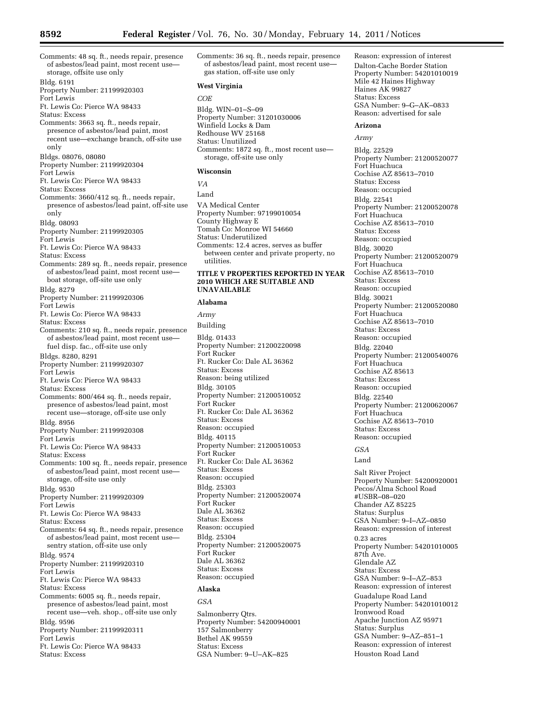Comments: 48 sq. ft., needs repair, presence of asbestos/lead paint, most recent use storage, offsite use only Bldg. 6191 Property Number: 21199920303 Fort Lewis Ft. Lewis Co: Pierce WA 98433 Status: Excess Comments: 3663 sq. ft., needs repair, presence of asbestos/lead paint, most recent use—exchange branch, off-site use only Bldgs. 08076, 08080 Property Number: 21199920304 Fort Lewis Ft. Lewis Co: Pierce WA 98433 Status: Excess

Comments: 3660/412 sq. ft., needs repair, presence of asbestos/lead paint, off-site use only Bldg. 08093

Property Number: 21199920305

Fort Lewis

Ft. Lewis Co: Pierce WA 98433

Status: Excess

Comments: 289 sq. ft., needs repair, presence of asbestos/lead paint, most recent use boat storage, off-site use only

Bldg. 8279

Property Number: 21199920306 Fort Lewis

Ft. Lewis Co: Pierce WA 98433 Status: Excess

- Comments: 210 sq. ft., needs repair, presence of asbestos/lead paint, most recent use fuel disp. fac., off-site use only Bldgs. 8280, 8291 Property Number: 21199920307 Fort Lewis Ft. Lewis Co: Pierce WA 98433 Status: Excess Comments: 800/464 sq. ft., needs repair,
- presence of asbestos/lead paint, most recent use—storage, off-site use only

Bldg. 8956

Property Number: 21199920308 Fort Lewis

Ft. Lewis Co: Pierce WA 98433

Status: Excess

Comments: 100 sq. ft., needs repair, presence of asbestos/lead paint, most recent use storage, off-site use only

Bldg. 9530

Property Number: 21199920309 Fort Lewis

Ft. Lewis Co: Pierce WA 98433 Status: Excess

Comments: 64 sq. ft., needs repair, presence of asbestos/lead paint, most recent use sentry station, off-site use only

Bldg. 9574

Property Number: 21199920310

Fort Lewis

Ft. Lewis Co: Pierce WA 98433

- Status: Excess
- Comments: 6005 sq. ft., needs repair, presence of asbestos/lead paint, most recent use—veh. shop., off-site use only Bldg. 9596
- Property Number: 21199920311 Fort Lewis

Ft. Lewis Co: Pierce WA 98433

Status: Excess

Comments: 36 sq. ft., needs repair, presence of asbestos/lead paint, most recent use gas station, off-site use only

#### **West Virginia**

#### *COE*

Bldg. WIN–01–S–09 Property Number: 31201030006 Winfield Locks & Dam Redhouse WV 25168 Status: Unutilized Comments: 1872 sq. ft., most recent use storage, off-site use only

#### **Wisconsin**

*VA* 

Land

VA Medical Center Property Number: 97199010054 County Highway E Tomah Co: Monroe WI 54660 Status: Underutilized Comments: 12.4 acres, serves as buffer between center and private property, no utilities.

#### **TITLE V PROPERTIES REPORTED IN YEAR 2010 WHICH ARE SUITABLE AND UNAVAILABLE**

#### **Alabama**

*Army*  Building Bldg. 01433 Property Number: 21200220098 Fort Rucker Ft. Rucker Co: Dale AL 36362 Status: Excess Reason: being utilized Bldg. 30105 Property Number: 21200510052 Fort Rucker Ft. Rucker Co: Dale AL 36362 Status: Excess Reason: occupied Bldg. 40115 Property Number: 21200510053 Fort Rucker Ft. Rucker Co: Dale AL 36362 Status: Excess Reason: occupied Bldg. 25303 Property Number: 21200520074 Fort Rucker Dale AL 36362 Status: Excess Reason: occupied Bldg. 25304 Property Number: 21200520075 Fort Rucker Dale AL 36362 Status: Excess Reason: occupied

#### **Alaska**

*GSA* 

Salmonberry Qtrs. Property Number: 54200940001 157 Salmonberry Bethel AK 99559 Status: Excess GSA Number: 9–U–AK–825

Reason: expression of interest Dalton-Cache Border Station Property Number: 54201010019 Mile 42 Haines Highway Haines AK 99827 Status: Excess GSA Number: 9–G–AK–0833 Reason: advertised for sale

#### **Arizona**

*Army* 

Bldg. 22529 Property Number: 21200520077 Fort Huachuca Cochise AZ 85613–7010 Status: Excess Reason: occupied Bldg. 22541 Property Number: 21200520078 Fort Huachuca Cochise AZ 85613–7010 Status: Excess Reason: occupied Bldg. 30020 Property Number: 21200520079 Fort Huachuca Cochise AZ 85613–7010 Status: Excess Reason: occupied Bldg. 30021 Property Number: 21200520080 Fort Huachuca Cochise AZ 85613–7010 Status: Excess Reason: occupied Bldg. 22040 Property Number: 21200540076 Fort Huachuca Cochise AZ 85613 Status: Excess Reason: occupied Bldg. 22540 Property Number: 21200620067 Fort Huachuca Cochise AZ 85613–7010 Status: Excess Reason: occupied *GSA*  Land Salt River Project Property Number: 54200920001 Pecos/Alma School Road #USBR–08–020 Chander AZ 85225 Status: Surplus GSA Number: 9–I–AZ–0850 Reason: expression of interest 0.23 acres Property Number: 54201010005 87th Ave. Glendale AZ Status: Excess GSA Number: 9–I–AZ–853 Reason: expression of interest Guadalupe Road Land Property Number: 54201010012 Ironwood Road Apache Junction AZ 95971 Status: Surplus GSA Number: 9–AZ–851–1 Reason: expression of interest Houston Road Land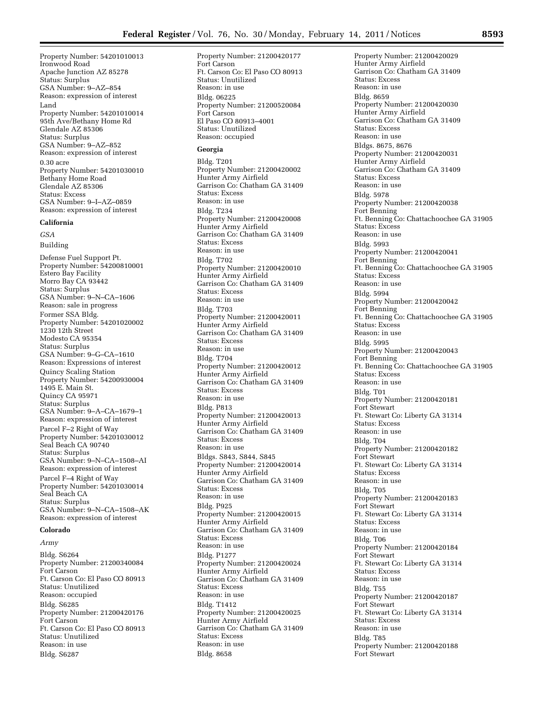Property Number: 54201010013 Ironwood Road Apache Junction AZ 85278 Status: Surplus GSA Number: 9–AZ–854 Reason: expression of interest Land Property Number: 54201010014 95th Ave/Bethany Home Rd Glendale AZ 85306 Status: Surplus GSA Number: 9–AZ–852 Reason: expression of interest 0.30 acre Property Number: 54201030010 Bethany Home Road Glendale AZ 85306 Status: Excess GSA Number: 9–I–AZ–0859 Reason: expression of interest

#### **California**

*GSA* 

Building Defense Fuel Support Pt. Property Number: 54200810001 Estero Bay Facility Morro Bay CA 93442 Status: Surplus GSA Number: 9–N–CA–1606 Reason: sale in progress Former SSA Bldg. Property Number: 54201020002 1230 12th Street Modesto CA 95354 Status: Surplus GSA Number: 9–G–CA–1610 Reason: Expressions of interest Quincy Scaling Station Property Number: 54200930004 1495 E. Main St. Quincy CA 95971 Status: Surplus GSA Number: 9–A–CA–1679–1 Reason: expression of interest Parcel F–2 Right of Way Property Number: 54201030012 Seal Beach CA 90740 Status: Surplus GSA Number: 9–N–CA–1508–AI Reason: expression of interest Parcel F–4 Right of Way Property Number: 54201030014 Seal Beach CA Status: Surplus GSA Number: 9–N–CA–1508–AK Reason: expression of interest

#### **Colorado**

*Army* 

Bldg. S6264 Property Number: 21200340084 Fort Carson Ft. Carson Co: El Paso CO 80913 Status: Unutilized Reason: occupied Bldg. S6285 Property Number: 21200420176 Fort Carson Ft. Carson Co: El Paso CO 80913 Status: Unutilized Reason: in use Bldg. S6287

Property Number: 21200420177 Fort Carson Ft. Carson Co: El Paso CO 80913 Status: Unutilized Reason: in use Bldg. 06225 Property Number: 21200520084 Fort Carson El Paso CO 80913–4001 Status: Unutilized Reason: occupied

#### **Georgia**

Bldg. T201 Property Number: 21200420002 Hunter Army Airfield Garrison Co: Chatham GA 31409 Status: Excess Reason: in use Bldg. T234 Property Number: 21200420008 Hunter Army Airfield Garrison Co: Chatham GA 31409 Status: Excess Reason: in use Bldg. T702 Property Number: 21200420010 Hunter Army Airfield Garrison Co: Chatham GA 31409 Status: Excess Reason: in use Bldg. T703 Property Number: 21200420011 Hunter Army Airfield Garrison Co: Chatham GA 31409 Status: Excess Reason: in use Bldg. T704 Property Number: 21200420012 Hunter Army Airfield Garrison Co: Chatham GA 31409 Status: Excess Reason: in use Bldg. P813 Property Number: 21200420013 Hunter Army Airfield Garrison Co: Chatham GA 31409 Status: Excess Reason: in use Bldgs. S843, S844, S845 Property Number: 21200420014 Hunter Army Airfield Garrison Co: Chatham GA 31409 Status: Excess Reason: in use Bldg. P925 Property Number: 21200420015 Hunter Army Airfield Garrison Co: Chatham GA 31409 Status: Excess Reason: in use Bldg. P1277 Property Number: 21200420024 Hunter Army Airfield Garrison Co: Chatham GA 31409 Status: Excess Reason: in use Bldg. T1412 Property Number: 21200420025 Hunter Army Airfield Garrison Co: Chatham GA 31409 Status: Excess Reason: in use Bldg. 8658

Property Number: 21200420029 Hunter Army Airfield Garrison Co: Chatham GA 31409 Status: Excess Reason: in use Bldg. 8659 Property Number: 21200420030 Hunter Army Airfield Garrison Co: Chatham GA 31409 Status: Excess Reason: in use Bldgs. 8675, 8676 Property Number: 21200420031 Hunter Army Airfield Garrison Co: Chatham GA 31409 Status: Excess Reason: in use Bldg. 5978 Property Number: 21200420038 Fort Benning Ft. Benning Co: Chattachoochee GA 31905 Status: Excess Reason: in use Bldg. 5993 Property Number: 21200420041 Fort Benning Ft. Benning Co: Chattachoochee GA 31905 Status: Excess Reason: in use Bldg. 5994 Property Number: 21200420042 Fort Benning Ft. Benning Co: Chattachoochee GA 31905 Status: Excess Reason: in use Bldg. 5995 Property Number: 21200420043 Fort Benning Ft. Benning Co: Chattachoochee GA 31905 Status: Excess Reason: in use Bldg. T01 Property Number: 21200420181 Fort Stewart Ft. Stewart Co: Liberty GA 31314 Status: Excess Reason: in use Bldg. T04 Property Number: 21200420182 Fort Stewart Ft. Stewart Co: Liberty GA 31314 Status: Excess Reason: in use Bldg. T05 Property Number: 21200420183 Fort Stewart Ft. Stewart Co: Liberty GA 31314 Status: Excess Reason: in use Bldg. T06 Property Number: 21200420184 Fort Stewart Ft. Stewart Co: Liberty GA 31314 Status: Excess Reason: in use Bldg. T55 Property Number: 21200420187 Fort Stewart Ft. Stewart Co: Liberty GA 31314 Status: Excess Reason: in use Bldg. T85 Property Number: 21200420188 Fort Stewart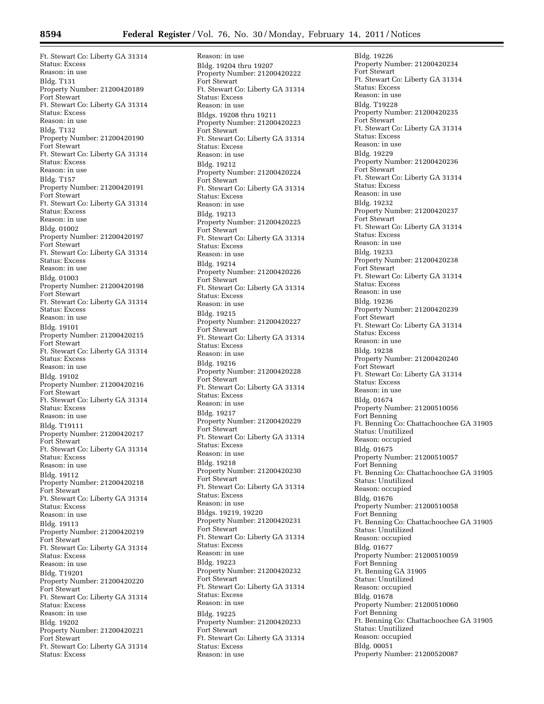Ft. Stewart Co: Liberty GA 31314 Status: Excess Reason: in use Bldg. T131 Property Number: 21200420189 Fort Stewart Ft. Stewart Co: Liberty GA 31314 Status: Excess Reason: in use Bldg. T132 Property Number: 21200420190 Fort Stewart Ft. Stewart Co: Liberty GA 31314 Status: Excess Reason: in use Bldg. T157 Property Number: 21200420191 Fort Stewart Ft. Stewart Co: Liberty GA 31314 Status: Excess Reason: in use Bldg. 01002 Property Number: 21200420197 Fort Stewart Ft. Stewart Co: Liberty GA 31314 Status: Excess Reason: in use Bldg. 01003 Property Number: 21200420198 Fort Stewart Ft. Stewart Co: Liberty GA 31314 Status: Excess Reason: in use Bldg. 19101 Property Number: 21200420215 Fort Stewart Ft. Stewart Co: Liberty GA 31314 Status: Excess Reason: in use Bldg. 19102 Property Number: 21200420216 Fort Stewart Ft. Stewart Co: Liberty GA 31314 Status: Excess Reason: in use Bldg. T19111 Property Number: 21200420217 Fort Stewart Ft. Stewart Co: Liberty GA 31314 Status: Excess Reason: in use Bldg. 19112 Property Number: 21200420218 Fort Stewart Ft. Stewart Co: Liberty GA 31314 Status: Excess Reason: in use Bldg. 19113 Property Number: 21200420219 Fort Stewart Ft. Stewart Co: Liberty GA 31314 Status: Excess Reason: in use Bldg. T19201 Property Number: 21200420220 Fort Stewart Ft. Stewart Co: Liberty GA 31314 Status: Excess Reason: in use Bldg. 19202 Property Number: 21200420221 Fort Stewart Ft. Stewart Co: Liberty GA 31314 Status: Excess

Reason: in use Bldg. 19204 thru 19207 Property Number: 21200420222 Fort Stewart Ft. Stewart Co: Liberty GA 31314 Status: Excess Reason: in use Bldgs. 19208 thru 19211 Property Number: 21200420223 Fort Stewart Ft. Stewart Co: Liberty GA 31314 Status: Excess Reason: in use Bldg. 19212 Property Number: 21200420224 Fort Stewart Ft. Stewart Co: Liberty GA 31314 Status: Excess Reason: in use Bldg. 19213 Property Number: 21200420225 Fort Stewart Ft. Stewart Co: Liberty GA 31314 Status: Excess Reason: in use Bldg. 19214 Property Number: 21200420226 Fort Stewart Ft. Stewart Co: Liberty GA 31314 Status: Excess Reason: in use Bldg. 19215 Property Number: 21200420227 Fort Stewart Ft. Stewart Co: Liberty GA 31314 Status: Excess Reason: in use Bldg. 19216 Property Number: 21200420228 Fort Stewart Ft. Stewart Co: Liberty GA 31314 Status: Excess Reason: in use Bldg. 19217 Property Number: 21200420229 Fort Stewart Ft. Stewart Co: Liberty GA 31314 Status: Excess Reason: in use Bldg. 19218 Property Number: 21200420230 Fort Stewart Ft. Stewart Co: Liberty GA 31314 Status: Excess Reason: in use Bldgs. 19219, 19220 Property Number: 21200420231 Fort Stewart Ft. Stewart Co: Liberty GA 31314 Status: Excess Reason: in use Bldg. 19223 Property Number: 21200420232 Fort Stewart Ft. Stewart Co: Liberty GA 31314 Status: Excess Reason: in use Bldg. 19225 Property Number: 21200420233 Fort Stewart Ft. Stewart Co: Liberty GA 31314 Status: Excess Reason: in use

Bldg. 19226 Property Number: 21200420234 Fort Stewart Ft. Stewart Co: Liberty GA 31314 Status: Excess Reason: in use Bldg. T19228 Property Number: 21200420235 Fort Stewart Ft. Stewart Co: Liberty GA 31314 Status: Excess Reason: in use Bldg. 19229 Property Number: 21200420236 Fort Stewart Ft. Stewart Co: Liberty GA 31314 Status: Excess Reason: in use Bldg. 19232 Property Number: 21200420237 Fort Stewart Ft. Stewart Co: Liberty GA 31314 Status: Excess Reason: in use Bldg. 19233 Property Number: 21200420238 Fort Stewart Ft. Stewart Co: Liberty GA 31314 Status: Excess Reason: in use Bldg. 19236 Property Number: 21200420239 Fort Stewart Ft. Stewart Co: Liberty GA 31314 Status: Excess Reason: in use Bldg. 19238 Property Number: 21200420240 Fort Stewart Ft. Stewart Co: Liberty GA 31314 Status: Excess Reason: in use Bldg. 01674 Property Number: 21200510056 Fort Benning Ft. Benning Co: Chattachoochee GA 31905 Status: Unutilized Reason: occupied Bldg. 01675 Property Number: 21200510057 Fort Benning Ft. Benning Co: Chattachoochee GA 31905 Status: Unutilized Reason: occupied Bldg. 01676 Property Number: 21200510058 Fort Benning Ft. Benning Co: Chattachoochee GA 31905 Status: Unutilized Reason: occupied Bldg. 01677 Property Number: 21200510059 Fort Benning Ft. Benning GA 31905 Status: Unutilized Reason: occupied Bldg. 01678 Property Number: 21200510060 Fort Benning Ft. Benning Co: Chattachoochee GA 31905 Status: Unutilized Reason: occupied Bldg. 00051 Property Number: 21200520087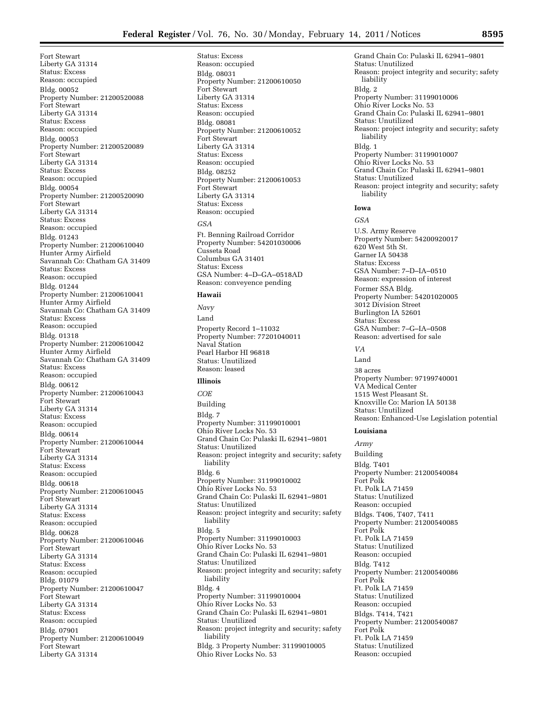Fort Stewart Liberty GA 31314 Status: Excess Reason: occupied Bldg. 00052 Property Number: 21200520088 Fort Stewart Liberty GA 31314 Status: Excess Reason: occupied Bldg. 00053 Property Number: 21200520089 Fort Stewart Liberty GA 31314 Status: Excess Reason: occupied Bldg. 00054 Property Number: 21200520090 Fort Stewart Liberty GA 31314 Status: Excess Reason: occupied Bldg. 01243 Property Number: 21200610040 Hunter Army Airfield Savannah Co: Chatham GA 31409 Status: Excess Reason: occupied Bldg. 01244 Property Number: 21200610041 Hunter Army Airfield Savannah Co: Chatham GA 31409 Status: Excess Reason: occupied Bldg. 01318 Property Number: 21200610042 Hunter Army Airfield Savannah Co: Chatham GA 31409 Status: Excess Reason: occupied Bldg. 00612 Property Number: 21200610043 Fort Stewart Liberty GA 31314 Status: Excess Reason: occupied Bldg. 00614 Property Number: 21200610044 Fort Stewart Liberty GA 31314 Status: Excess Reason: occupied Bldg. 00618 Property Number: 21200610045 Fort Stewart Liberty GA 31314 Status: Excess Reason: occupied Bldg. 00628 Property Number: 21200610046 Fort Stewart Liberty GA 31314 Status: Excess Reason: occupied Bldg. 01079 Property Number: 21200610047 Fort Stewart Liberty GA 31314 Status: Excess Reason: occupied Bldg. 07901 Property Number: 21200610049 Fort Stewart Liberty GA 31314

Status: Excess Reason: occupied Bldg. 08031 Property Number: 21200610050 Fort Stewart Liberty GA 31314 Status: Excess Reason: occupied Bldg. 08081 Property Number: 21200610052 Fort Stewart Liberty GA 31314 Status: Excess Reason: occupied Bldg. 08252 Property Number: 21200610053 Fort Stewart Liberty GA 31314 Status: Excess Reason: occupied *GSA*  Ft. Benning Railroad Corridor Property Number: 54201030006 Cusseta Road Columbus GA 31401 Status: Excess GSA Number: 4–D–GA–0518AD Reason: conveyence pending

#### **Hawaii**

*Navy*  Land Property Record 1–11032 Property Number: 77201040011 Naval Station Pearl Harbor HI 96818 Status: Unutilized Reason: leased

#### **Illinois**

*COE*  Building Bldg. 7 Property Number: 31199010001 Ohio River Locks No. 53 Grand Chain Co: Pulaski IL 62941–9801 Status: Unutilized Reason: project integrity and security; safety liability Bldg. 6 Property Number: 31199010002 Ohio River Locks No. 53 Grand Chain Co: Pulaski IL 62941–9801 Status: Unutilized Reason: project integrity and security; safety liability Bldg. 5 Property Number: 31199010003 Ohio River Locks No. 53 Grand Chain Co: Pulaski IL 62941–9801 Status: Unutilized Reason: project integrity and security; safety liability Bldg. 4 Property Number: 31199010004 Ohio River Locks No. 53 Grand Chain Co: Pulaski IL 62941–9801 Status: Unutilized Reason: project integrity and security; safety liability Bldg. 3 Property Number: 31199010005 Ohio River Locks No. 53

Grand Chain Co: Pulaski IL 62941–9801 Status: Unutilized Reason: project integrity and security; safety liability Bldg. 2 Property Number: 31199010006 Ohio River Locks No. 53 Grand Chain Co: Pulaski IL 62941–9801 Status: Unutilized Reason: project integrity and security; safety liability Bldg. 1 Property Number: 31199010007 Ohio River Locks No. 53 Grand Chain Co: Pulaski IL 62941–9801 Status: Unutilized Reason: project integrity and security; safety liability

#### **Iowa**

*GSA* 

U.S. Army Reserve Property Number: 54200920017 620 West 5th St. Garner IA 50438 Status: Excess GSA Number: 7–D–IA–0510 Reason: expression of interest Former SSA Bldg. Property Number: 54201020005 3012 Division Street Burlington IA 52601 Status: Excess GSA Number: 7–G–IA–0508 Reason: advertised for sale

#### *VA*

Land 38 acres Property Number: 97199740001 VA Medical Center 1515 West Pleasant St. Knoxville Co: Marion IA 50138 Status: Unutilized Reason: Enhanced-Use Legislation potential

#### **Louisiana**

*Army*  Building Bldg. T401 Property Number: 21200540084 Fort Polk Ft. Polk LA 71459 Status: Unutilized Reason: occupied Bldgs. T406, T407, T411 Property Number: 21200540085 Fort Polk Ft. Polk LA 71459 Status: Unutilized Reason: occupied Bldg. T412 Property Number: 21200540086 Fort Polk Ft. Polk LA 71459 Status: Unutilized Reason: occupied Bldgs. T414, T421 Property Number: 21200540087 Fort Polk Ft. Polk LA 71459 Status: Unutilized Reason: occupied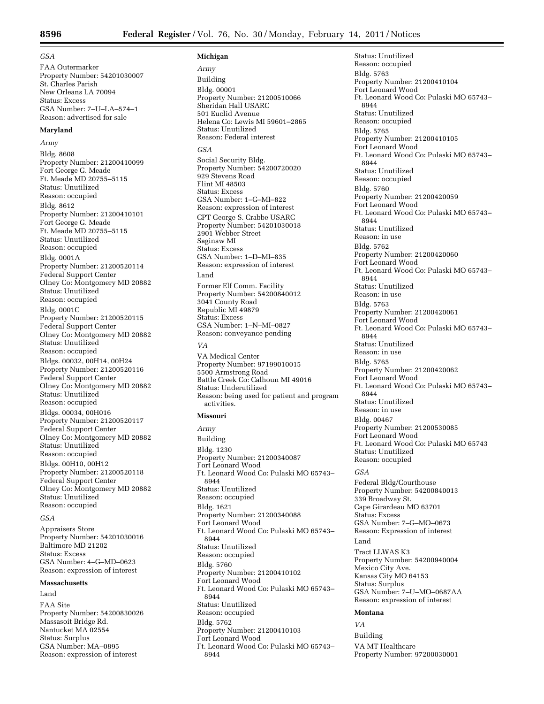#### *GSA*

FAA Outermarker Property Number: 54201030007 St. Charles Parish New Orleans LA 70094 Status: Excess GSA Number: 7–U–LA–574–1 Reason: advertised for sale

#### **Maryland**

*Army*  Bldg. 8608 Property Number: 21200410099 Fort George G. Meade Ft. Meade MD 20755–5115 Status: Unutilized Reason: occupied Bldg. 8612 Property Number: 21200410101 Fort George G. Meade Ft. Meade MD 20755–5115 Status: Unutilized Reason: occupied Bldg. 0001A Property Number: 21200520114 Federal Support Center Olney Co: Montgomery MD 20882 Status: Unutilized Reason: occupied Bldg. 0001C Property Number: 21200520115 Federal Support Center Olney Co: Montgomery MD 20882 Status: Unutilized Reason: occupied Bldgs. 00032, 00H14, 00H24 Property Number: 21200520116 Federal Support Center Olney Co: Montgomery MD 20882 Status: Unutilized Reason: occupied Bldgs. 00034, 00H016 Property Number: 21200520117 Federal Support Center Olney Co: Montgomery MD 20882 Status: Unutilized Reason: occupied Bldgs. 00H10, 00H12 Property Number: 21200520118 Federal Support Center Olney Co: Montgomery MD 20882 Status: Unutilized Reason: occupied

#### *GSA*

Appraisers Store Property Number: 54201030016 Baltimore MD 21202 Status: Excess GSA Number: 4–G–MD–0623 Reason: expression of interest

#### **Massachusetts**

Land

FAA Site Property Number: 54200830026 Massasoit Bridge Rd. Nantucket MA 02554 Status: Surplus GSA Number: MA–0895 Reason: expression of interest

#### **Michigan**

*Army*  Building Bldg. 00001 Property Number: 21200510066 Sheridan Hall USARC 501 Euclid Avenue Helena Co: Lewis MI 59601–2865 Status: Unutilized Reason: Federal interest *GSA*  Social Security Bldg. Property Number: 54200720020 929 Stevens Road Flint MI 48503 Status: Excess GSA Number: 1–G–MI–822 Reason: expression of interest CPT George S. Crabbe USARC Property Number: 54201030018 2901 Webber Street Saginaw MI Status: Excess GSA Number: 1–D–MI–835 Reason: expression of interest Land Former Elf Comm. Facility Property Number: 54200840012 3041 County Road Republic MI 49879 Status: Excess GSA Number: 1–N–MI–0827 Reason: conveyance pending *VA*  VA Medical Center Property Number: 97199010015 5500 Armstrong Road Battle Creek Co: Calhoun MI 49016 Status: Underutilized Reason: being used for patient and program

#### **Missouri**

activities.

*Army*  Building Bldg. 1230 Property Number: 21200340087 Fort Leonard Wood Ft. Leonard Wood Co: Pulaski MO 65743– 8944 Status: Unutilized Reason: occupied Bldg. 1621 Property Number: 21200340088 Fort Leonard Wood Ft. Leonard Wood Co: Pulaski MO 65743– 8944 Status: Unutilized Reason: occupied Bldg. 5760 Property Number: 21200410102 Fort Leonard Wood Ft. Leonard Wood Co: Pulaski MO 65743– 8944 Status: Unutilized Reason: occupied Bldg. 5762 Property Number: 21200410103 Fort Leonard Wood Ft. Leonard Wood Co: Pulaski MO 65743– 8944

Status: Unutilized Reason: occupied Bldg. 5763 Property Number: 21200410104 Fort Leonard Wood Ft. Leonard Wood Co: Pulaski MO 65743– 8944 Status: Unutilized Reason: occupied Bldg. 5765 Property Number: 21200410105 Fort Leonard Wood Ft. Leonard Wood Co: Pulaski MO 65743– 8944 Status: Unutilized Reason: occupied Bldg. 5760 Property Number: 21200420059 Fort Leonard Wood Ft. Leonard Wood Co: Pulaski MO 65743– 8944 Status: Unutilized Reason: in use Bldg. 5762 Property Number: 21200420060 Fort Leonard Wood Ft. Leonard Wood Co: Pulaski MO 65743– 8944 Status: Unutilized Reason: in use Bldg. 5763 Property Number: 21200420061 Fort Leonard Wood Ft. Leonard Wood Co: Pulaski MO 65743– 8944 Status: Unutilized Reason: in use Bldg. 5765 Property Number: 21200420062 Fort Leonard Wood Ft. Leonard Wood Co: Pulaski MO 65743– 8944 Status: Unutilized Reason: in use Bldg. 00467 Property Number: 21200530085 Fort Leonard Wood Ft. Leonard Wood Co: Pulaski MO 65743 Status: Unutilized Reason: occupied

#### *GSA*

Federal Bldg/Courthouse Property Number: 54200840013 339 Broadway St. Cape Girardeau MO 63701 Status: Excess GSA Number: 7–G–MO–0673 Reason: Expression of interest Land Tract LLWAS K3 Property Number: 54200940004 Mexico City Ave. Kansas City MO 64153 Status: Surplus GSA Number: 7–U–MO–0687AA Reason: expression of interest

#### **Montana**

*VA*  Building VA MT Healthcare Property Number: 97200030001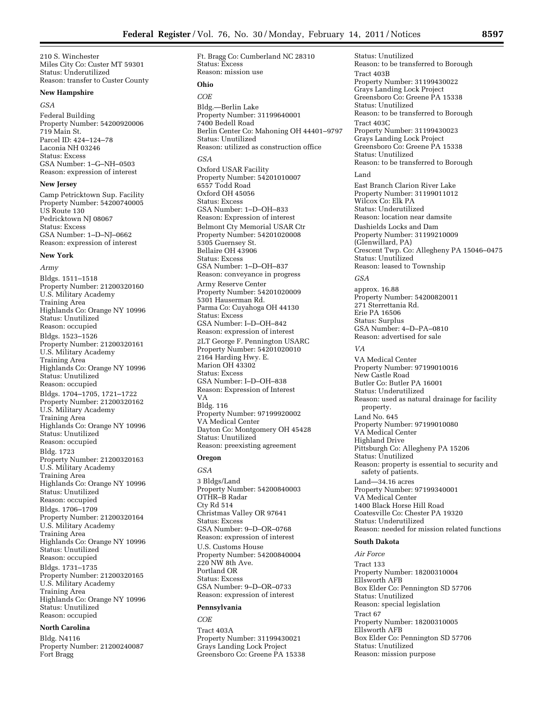210 S. Winchester Miles City Co: Custer MT 59301 Status: Underutilized Reason: transfer to Custer County

#### **New Hampshire**

#### *GSA*

Federal Building Property Number: 54200920006 719 Main St. Parcel ID: 424–124–78 Laconia NH 03246 Status: Excess GSA Number: 1–G–NH–0503 Reason: expression of interest

#### **New Jersey**

Camp Petricktown Sup. Facility Property Number: 54200740005 US Route 130 Pedricktown NJ 08067 Status: Excess GSA Number: 1–D–NJ–0662 Reason: expression of interest

#### **New York**

*Army*  Bldgs. 1511–1518 Property Number: 21200320160 U.S. Military Academy Training Area Highlands Co: Orange NY 10996 Status: Unutilized Reason: occupied Bldgs. 1523–1526 Property Number: 21200320161 U.S. Military Academy Training Area Highlands Co: Orange NY 10996 Status: Unutilized Reason: occupied Bldgs. 1704–1705, 1721–1722 Property Number: 21200320162 U.S. Military Academy Training Area Highlands Co: Orange NY 10996 Status: Unutilized Reason: occupied Bldg. 1723 Property Number: 21200320163 U.S. Military Academy Training Area Highlands Co: Orange NY 10996 Status: Unutilized Reason: occupied Bldgs. 1706–1709 Property Number: 21200320164 U.S. Military Academy Training Area Highlands Co: Orange NY 10996 Status: Unutilized Reason: occupied Bldgs. 1731–1735 Property Number: 21200320165 U.S. Military Academy Training Area Highlands Co: Orange NY 10996 Status: Unutilized Reason: occupied

#### **North Carolina**

Bldg. N4116 Property Number: 21200240087 Fort Bragg

Ft. Bragg Co: Cumberland NC 28310 Status: Excess Reason: mission use

# **Ohio**

*COE*  Bldg.—Berlin Lake Property Number: 31199640001 7400 Bedell Road Berlin Center Co: Mahoning OH 44401–9797 Status: Unutilized Reason: utilized as construction office *GSA*  Oxford USAR Facility Property Number: 54201010007 6557 Todd Road Oxford OH 45056 Status: Excess GSA Number: 1–D–OH–833 Reason: Expression of interest Belmont Cty Memorial USAR Ctr Property Number: 54201020008 5305 Guernsey St. Bellaire OH 43906 Status: Excess GSA Number: 1–D–OH–837 Reason: conveyance in progress Army Reserve Center Property Number: 54201020009 5301 Hauserman Rd. Parma Co: Cuyahoga OH 44130 Status: Excess GSA Number: I–D–OH–842 Reason: expression of interest 2LT George F. Pennington USARC Property Number: 54201020010 2164 Harding Hwy. E. Marion OH 43302 Status: Excess GSA Number: I–D–OH–838 Reason: Expression of Interest VA Bldg. 116 Property Number: 97199920002 VA Medical Center Dayton Co: Montgomery OH 45428 Status: Unutilized Reason: preexisting agreement

### **Oregon**

*GSA*  3 Bldgs/Land Property Number: 54200840003 OTHR–B Radar Cty Rd 514 Christmas Valley OR 97641 Status: Excess GSA Number: 9–D–OR–0768 Reason: expression of interest U.S. Customs House Property Number: 54200840004 220 NW 8th Ave. Portland OR Status: Excess GSA Number: 9–D–OR–0733 Reason: expression of interest

#### **Pennsylvania**

*COE*  Tract 403A Property Number: 31199430021 Grays Landing Lock Project Greensboro Co: Greene PA 15338

Status: Unutilized Reason: to be transferred to Borough Tract 403B Property Number: 31199430022 Grays Landing Lock Project Greensboro Co: Greene PA 15338 Status: Unutilized Reason: to be transferred to Borough Tract 403C Property Number: 31199430023 Grays Landing Lock Project Greensboro Co: Greene PA 15338 Status: Unutilized Reason: to be transferred to Borough Land East Branch Clarion River Lake Property Number: 31199011012 Wilcox Co: Elk PA Status: Underutilized Reason: location near damsite Dashields Locks and Dam Property Number: 31199210009 (Glenwillard, PA) Crescent Twp. Co: Allegheny PA 15046–0475 Status: Unutilized Reason: leased to Township *GSA*  approx. 16.88 Property Number: 54200820011 271 Sterrettania Rd. Erie PA 16506 Status: Surplus GSA Number: 4–D–PA–0810 Reason: advertised for sale *VA*  VA Medical Center Property Number: 97199010016 New Castle Road Butler Co: Butler PA 16001 Status: Underutilized Reason: used as natural drainage for facility property. Land No. 645 Property Number: 97199010080 VA Medical Center Highland Drive Pittsburgh Co: Allegheny PA 15206 Status: Unutilized Reason: property is essential to security and safety of patients. Land—34.16 acres Property Number: 97199340001 VA Medical Center 1400 Black Horse Hill Road Coatesville Co: Chester PA 19320 Status: Underutilized Reason: needed for mission related functions

# **South Dakota**

*Air Force*  Tract 133 Property Number: 18200310004 Ellsworth AFB Box Elder Co: Pennington SD 57706 Status: Unutilized Reason: special legislation Tract 67 Property Number: 18200310005 Ellsworth AFB Box Elder Co: Pennington SD 57706 Status: Unutilized Reason: mission purpose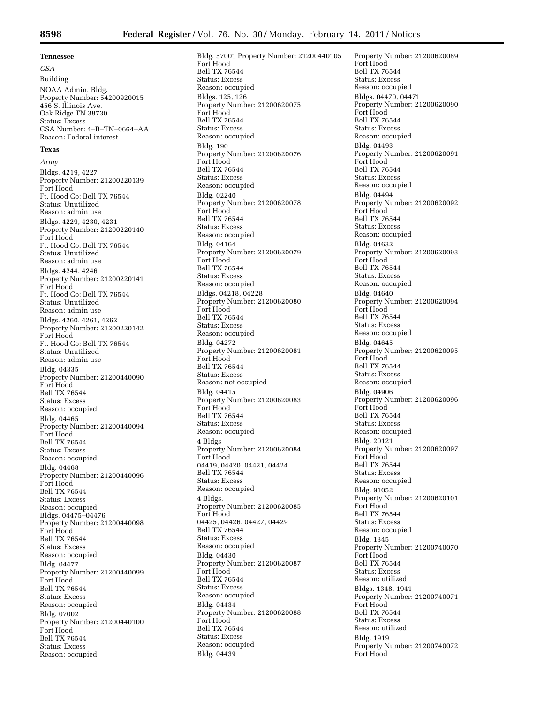#### **Tennessee**

*GSA*  Building NOAA Admin. Bldg. Property Number: 54200920015 456 S. Illinois Ave. Oak Ridge TN 38730 Status: Excess GSA Number: 4–B–TN–0664–AA Reason: Federal interest

#### **Texas**

*Army*  Bldgs. 4219, 4227 Property Number: 21200220139 Fort Hood Ft. Hood Co: Bell TX 76544 Status: Unutilized Reason: admin use Bldgs. 4229, 4230, 4231 Property Number: 21200220140 Fort Hood Ft. Hood Co: Bell TX 76544 Status: Unutilized Reason: admin use Bldgs. 4244, 4246 Property Number: 21200220141 Fort Hood Ft. Hood Co: Bell TX 76544 Status: Unutilized Reason: admin use Bldgs. 4260, 4261, 4262 Property Number: 21200220142 Fort Hood Ft. Hood Co: Bell TX 76544 Status: Unutilized Reason: admin use Bldg. 04335 Property Number: 21200440090 Fort Hood Bell TX 76544 Status: Excess Reason: occupied Bldg. 04465 Property Number: 21200440094 Fort Hood Bell TX 76544 Status: Excess Reason: occupied Bldg. 04468 Property Number: 21200440096 Fort Hood Bell TX 76544 Status: Excess Reason: occupied Bldgs. 04475–04476 Property Number: 21200440098 Fort Hood Bell TX 76544 Status: Excess Reason: occupied Bldg. 04477 Property Number: 21200440099 Fort Hood Bell TX 76544 Status: Excess Reason: occupied Bldg. 07002 Property Number: 21200440100 Fort Hood Bell TX 76544 Status: Excess Reason: occupied

Bldg. 57001 Property Number: 21200440105 Fort Hood Bell TX 76544 Status: Excess Reason: occupied Bldgs. 125, 126 Property Number: 21200620075 Fort Hood Bell TX 76544 Status: Excess Reason: occupied Bldg. 190 Property Number: 21200620076 Fort Hood Bell TX 76544 Status: Excess Reason: occupied Bldg. 02240 Property Number: 21200620078 Fort Hood Bell TX 76544 Status: Excess Reason: occupied Bldg. 04164 Property Number: 21200620079 Fort Hood Bell TX 76544 Status: Excess Reason: occupied Bldgs. 04218, 04228 Property Number: 21200620080 Fort Hood Bell TX 76544 Status: Excess Reason: occupied Bldg. 04272 Property Number: 21200620081 Fort Hood Bell TX 76544 Status: Excess Reason: not occupied Bldg. 04415 Property Number: 21200620083 Fort Hood Bell TX 76544 Status: Excess Reason: occupied 4 Bldgs Property Number: 21200620084 Fort Hood 04419, 04420, 04421, 04424 Bell TX 76544 Status: Excess Reason: occupied 4 Bldgs. Property Number: 21200620085 Fort Hood 04425, 04426, 04427, 04429 Bell TX 76544 Status: Excess Reason: occupied Bldg. 04430 Property Number: 21200620087 Fort Hood Bell TX 76544 Status: Excess Reason: occupied Bldg. 04434 Property Number: 21200620088 Fort Hood Bell TX 76544 Status: Excess Reason: occupied Bldg. 04439

Property Number: 21200620089 Fort Hood Bell TX 76544 Status: Excess Reason: occupied Bldgs. 04470, 04471 Property Number: 21200620090 Fort Hood Bell TX 76544 Status: Excess Reason: occupied Bldg. 04493 Property Number: 21200620091 Fort Hood Bell TX 76544 Status: Excess Reason: occupied Bldg. 04494 Property Number: 21200620092 Fort Hood Bell TX 76544 Status: Excess Reason: occupied Bldg. 04632 Property Number: 21200620093 Fort Hood Bell TX 76544 Status: Excess Reason: occupied Bldg. 04640 Property Number: 21200620094 Fort Hood Bell TX 76544 Status: Excess Reason: occupied Bldg. 04645 Property Number: 21200620095 Fort Hood Bell TX 76544 Status: Excess Reason: occupied Bldg. 04906 Property Number: 21200620096 Fort Hood Bell TX 76544 Status: Excess Reason: occupied Bldg. 20121 Property Number: 21200620097 Fort Hood Bell TX 76544 Status: Excess Reason: occupied Bldg. 91052 Property Number: 21200620101 Fort Hood Bell TX 76544 Status: Excess Reason: occupied Bldg. 1345 Property Number: 21200740070 Fort Hood Bell TX 76544 Status: Excess Reason: utilized Bldgs. 1348, 1941 Property Number: 21200740071 Fort Hood Bell TX 76544 Status: Excess Reason: utilized Bldg. 1919 Property Number: 21200740072 Fort Hood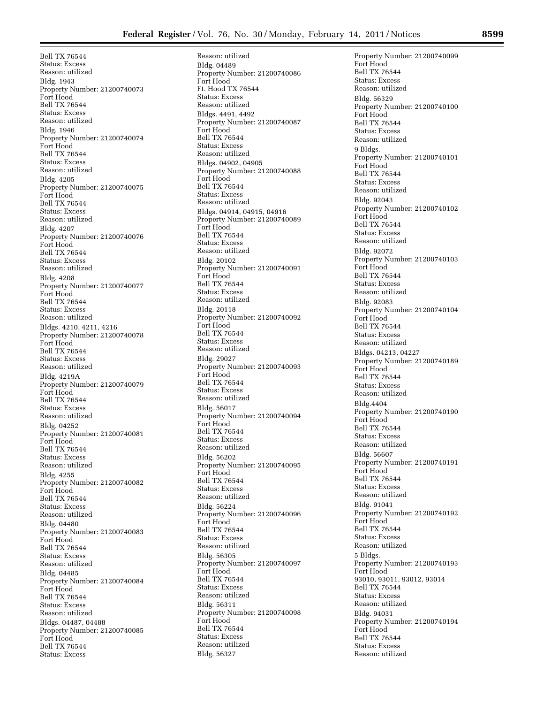Bell TX 76544 Status: Excess Reason: utilized Bldg. 1943 Property Number: 21200740073 Fort Hood Bell TX 76544 Status: Excess Reason: utilized Bldg. 1946 Property Number: 21200740074 Fort Hood Bell TX 76544 Status: Excess Reason: utilized Bldg. 4205 Property Number: 21200740075 Fort Hood Bell TX 76544 Status: Excess Reason: utilized Bldg. 4207 Property Number: 21200740076 Fort Hood Bell TX 76544 Status: Excess Reason: utilized Bldg. 4208 Property Number: 21200740077 Fort Hood Bell TX 76544 Status: Excess Reason: utilized Bldgs. 4210, 4211, 4216 Property Number: 21200740078 Fort Hood Bell TX 76544 Status: Excess Reason: utilized Bldg. 4219A Property Number: 21200740079 Fort Hood Bell TX 76544 Status: Excess Reason: utilized Bldg. 04252 Property Number: 21200740081 Fort Hood Bell TX 76544 Status: Excess Reason: utilized Bldg. 4255 Property Number: 21200740082 Fort Hood Bell TX 76544 Status: Excess Reason: utilized Bldg. 04480 Property Number: 21200740083 Fort Hood Bell TX 76544 Status: Excess Reason: utilized Bldg. 04485 Property Number: 21200740084 Fort Hood Bell TX 76544 Status: Excess Reason: utilized Bldgs. 04487, 04488 Property Number: 21200740085 Fort Hood Bell TX 76544 Status: Excess

Reason: utilized Bldg. 04489 Property Number: 21200740086 Fort Hood Ft. Hood TX 76544 Status: Excess Reason: utilized Bldgs. 4491, 4492 Property Number: 21200740087 Fort Hood Bell TX 76544 Status: Excess Reason: utilized Bldgs. 04902, 04905 Property Number: 21200740088 Fort Hood Bell TX 76544 Status: Excess Reason: utilized Bldgs. 04914, 04915, 04916 Property Number: 21200740089 Fort Hood Bell TX 76544 Status: Excess Reason: utilized Bldg. 20102 Property Number: 21200740091 Fort Hood Bell TX 76544 Status: Excess Reason: utilized Bldg. 20118 Property Number: 21200740092 Fort Hood Bell TX 76544 Status: Excess Reason: utilized Bldg. 29027 Property Number: 21200740093 Fort Hood Bell TX 76544 Status: Excess Reason: utilized Bldg. 56017 Property Number: 21200740094 Fort Hood Bell TX 76544 Status: Excess Reason: utilized Bldg. 56202 Property Number: 21200740095 Fort Hood Bell TX 76544 Status: Excess Reason: utilized Bldg. 56224 Property Number: 21200740096 Fort Hood Bell TX 76544 Status: Excess Reason: utilized Bldg. 56305 Property Number: 21200740097 Fort Hood Bell TX 76544 Status: Excess Reason: utilized Bldg. 56311 Property Number: 21200740098 Fort Hood Bell TX 76544 Status: Excess Reason: utilized Bldg. 56327

Property Number: 21200740099 Fort Hood Bell TX 76544 Status: Excess Reason: utilized Bldg. 56329 Property Number: 21200740100 Fort Hood Bell TX 76544 Status: Excess Reason: utilized 9 Bldgs. Property Number: 21200740101 Fort Hood Bell TX 76544 Status: Excess Reason: utilized Bldg. 92043 Property Number: 21200740102 Fort Hood Bell TX 76544 Status: Excess Reason: utilized Bldg. 92072 Property Number: 21200740103 Fort Hood Bell TX 76544 Status: Excess Reason: utilized Bldg. 92083 Property Number: 21200740104 Fort Hood Bell TX 76544 Status: Excess Reason: utilized Bldgs. 04213, 04227 Property Number: 21200740189 Fort Hood Bell TX 76544 Status: Excess Reason: utilized Bldg.4404 Property Number: 21200740190 Fort Hood Bell TX 76544 Status: Excess Reason: utilized Bldg. 56607 Property Number: 21200740191 Fort Hood Bell TX 76544 Status: Excess Reason: utilized Bldg. 91041 Property Number: 21200740192 Fort Hood Bell TX 76544 Status: Excess Reason: utilized 5 Bldgs. Property Number: 21200740193 Fort Hood 93010, 93011, 93012, 93014 Bell TX 76544 Status: Excess Reason: utilized Bldg. 94031 Property Number: 21200740194 Fort Hood Bell TX 76544 Status: Excess Reason: utilized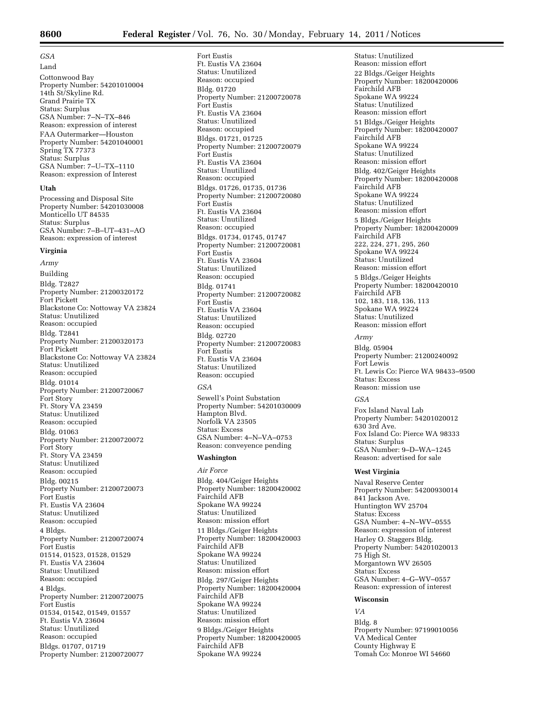# *GSA*

Land Cottonwood Bay Property Number: 54201010004 14th St/Skyline Rd. Grand Prairie TX Status: Surplus GSA Number: 7–N–TX–846 Reason: expression of interest FAA Outermarker—Houston Property Number: 54201040001 Spring TX 77373 Status: Surplus GSA Number: 7–U–TX–1110 Reason: expression of Interest

#### **Utah**

Processing and Disposal Site Property Number: 54201030008 Monticello UT 84535 Status: Surplus GSA Number: 7–B–UT–431–AO Reason: expression of interest

#### **Virginia**

*Army*  Building Bldg. T2827 Property Number: 21200320172 Fort Pickett Blackstone Co: Nottoway VA 23824 Status: Unutilized Reason: occupied Bldg. T2841 Property Number: 21200320173 Fort Pickett Blackstone Co: Nottoway VA 23824 Status: Unutilized Reason: occupied Bldg. 01014 Property Number: 21200720067 Fort Story Ft. Story VA 23459 Status: Unutilized Reason: occupied Bldg. 01063 Property Number: 21200720072 Fort Story Ft. Story VA 23459 Status: Unutilized Reason: occupied Bldg. 00215 Property Number: 21200720073 Fort Eustis Ft. Eustis VA 23604 Status: Unutilized Reason: occupied 4 Bldgs. Property Number: 21200720074 Fort Eustis 01514, 01523, 01528, 01529 Ft. Eustis VA 23604 Status: Unutilized Reason: occupied 4 Bldgs. Property Number: 21200720075 Fort Eustis 01534, 01542, 01549, 01557 Ft. Eustis VA 23604 Status: Unutilized Reason: occupied Bldgs. 01707, 01719 Property Number: 21200720077

Fort Eustis Ft. Eustis VA 23604 Status: Unutilized Reason: occupied Bldg. 01720 Property Number: 21200720078 Fort Eustis Ft. Eustis VA 23604 Status: Unutilized Reason: occupied Bldgs. 01721, 01725 Property Number: 21200720079 Fort Eustis Ft. Eustis VA 23604 Status: Unutilized Reason: occupied Bldgs. 01726, 01735, 01736 Property Number: 21200720080 Fort Eustis Ft. Eustis VA 23604 Status: Unutilized Reason: occupied Bldgs. 01734, 01745, 01747 Property Number: 21200720081 Fort Eustis Ft. Eustis VA 23604 Status: Unutilized Reason: occupied Bldg. 01741 Property Number: 21200720082 Fort Eustis Ft. Eustis VA 23604 Status: Unutilized Reason: occupied Bldg. 02720 Property Number: 21200720083 Fort Eustis Ft. Eustis VA 23604 Status: Unutilized Reason: occupied

#### *GSA*

Sewell's Point Substation Property Number: 54201030009 Hampton Blvd. Norfolk VA 23505 Status: Excess GSA Number: 4–N–VA–0753 Reason: conveyence pending

#### **Washington**

*Air Force*  Bldg. 404/Geiger Heights Property Number: 18200420002 Fairchild AFB Spokane WA 99224 Status: Unutilized Reason: mission effort 11 Bldgs./Geiger Heights Property Number: 18200420003 Fairchild AFB Spokane WA 99224 Status: Unutilized Reason: mission effort Bldg. 297/Geiger Heights Property Number: 18200420004 Fairchild AFB Spokane WA 99224 Status: Unutilized Reason: mission effort 9 Bldgs./Geiger Heights Property Number: 18200420005 Fairchild AFB Spokane WA 99224

Status: Unutilized Reason: mission effort 22 Bldgs./Geiger Heights Property Number: 18200420006 Fairchild AFB Spokane WA 99224 Status: Unutilized Reason: mission effort 51 Bldgs./Geiger Heights Property Number: 18200420007 Fairchild AFB Spokane WA 99224 Status: Unutilized Reason: mission effort Bldg. 402/Geiger Heights Property Number: 18200420008 Fairchild AFB Spokane WA 99224 Status: Unutilized Reason: mission effort 5 Bldgs./Geiger Heights Property Number: 18200420009 Fairchild AFB 222, 224, 271, 295, 260 Spokane WA 99224 Status: Unutilized Reason: mission effort 5 Bldgs./Geiger Heights Property Number: 18200420010 Fairchild AFB 102, 183, 118, 136, 113 Spokane WA 99224 Status: Unutilized Reason: mission effort

## *Army*

Bldg. 05904 Property Number: 21200240092 Fort Lewis Ft. Lewis Co: Pierce WA 98433–9500 Status: Excess Reason: mission use

#### *GSA*

Fox Island Naval Lab Property Number: 54201020012 630 3rd Ave. Fox Island Co: Pierce WA 98333 Status: Surplus GSA Number: 9–D–WA–1245 Reason: advertised for sale

#### **West Virginia**

Naval Reserve Center Property Number: 54200930014 841 Jackson Ave. Huntington WV 25704 Status: Excess GSA Number: 4–N–WV–0555 Reason: expression of interest Harley O. Staggers Bldg. Property Number: 54201020013 75 High St. Morgantown WV 26505 Status: Excess GSA Number: 4–G–WV–0557 Reason: expression of interest

#### **Wisconsin**

*VA*  Bldg. 8 Property Number: 97199010056 VA Medical Center County Highway E Tomah Co: Monroe WI 54660